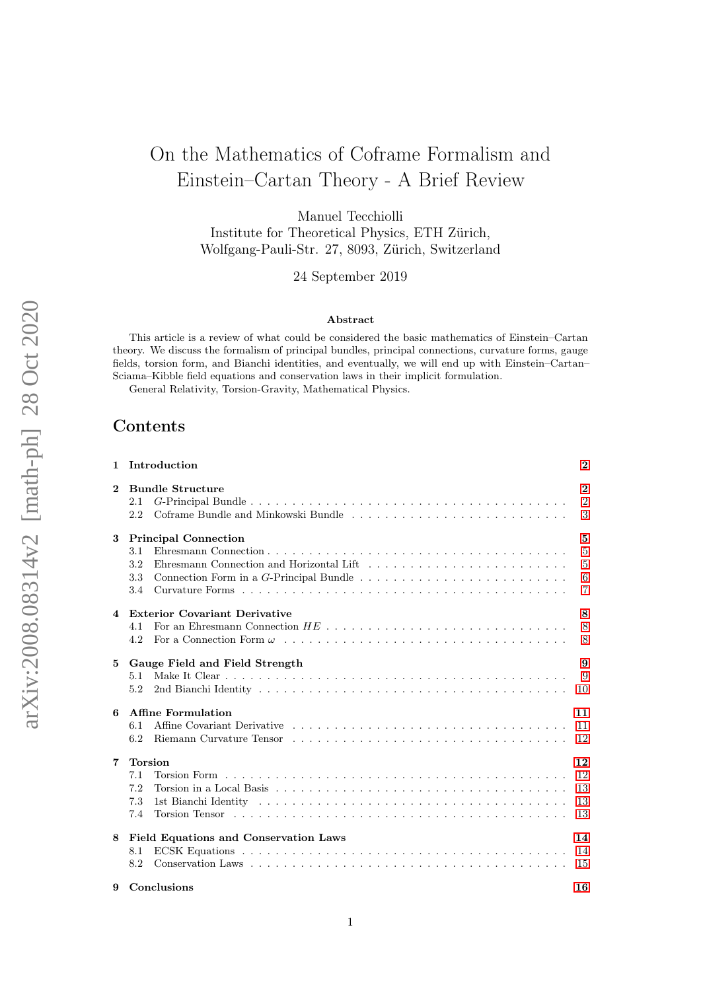# On the Mathematics of Coframe Formalism and Einstein–Cartan Theory - A Brief Review

Manuel Tecchiolli

Institute for Theoretical Physics, ETH Zürich, Wolfgang-Pauli-Str. 27, 8093, Zürich, Switzerland

24 September 2019

#### Abstract

This article is a review of what could be considered the basic mathematics of Einstein–Cartan theory. We discuss the formalism of principal bundles, principal connections, curvature forms, gauge fields, torsion form, and Bianchi identities, and eventually, we will end up with Einstein–Cartan– Sciama–Kibble field equations and conservation laws in their implicit formulation.

General Relativity, Torsion-Gravity, Mathematical Physics.

### Contents

|              | 1 Introduction                                                               | $\bf{2}$                                                     |
|--------------|------------------------------------------------------------------------------|--------------------------------------------------------------|
| $\mathbf{2}$ | <b>Bundle Structure</b><br>2.1<br>Coframe Bundle and Minkowski Bundle<br>2.2 | $\overline{2}$<br>$\overline{2}$<br>3                        |
| 3            | <b>Principal Connection</b><br>3.1<br>3.2<br>3.3<br>3.4                      | 5<br>$\overline{5}$<br>$\overline{5}$<br>6<br>$\overline{7}$ |
|              | 4 Exterior Covariant Derivative<br>4.1<br>4.2                                | 8<br>8<br>8                                                  |
| 5            | Gauge Field and Field Strength<br>5.1<br>5.2                                 | 9<br>9<br>10                                                 |
| 6            | Affine Formulation<br>6.1<br>6.2                                             | 11<br>11<br>12                                               |
| 7            | <b>Torsion</b><br>7.1<br>7.2<br>7.3<br>7.4                                   | 12<br>12<br>13<br>13<br>13                                   |
| 8            | <b>Field Equations and Conservation Laws</b><br>8.1<br>8.2                   | 14<br>14<br>15                                               |
| 9            | Conclusions                                                                  | 16                                                           |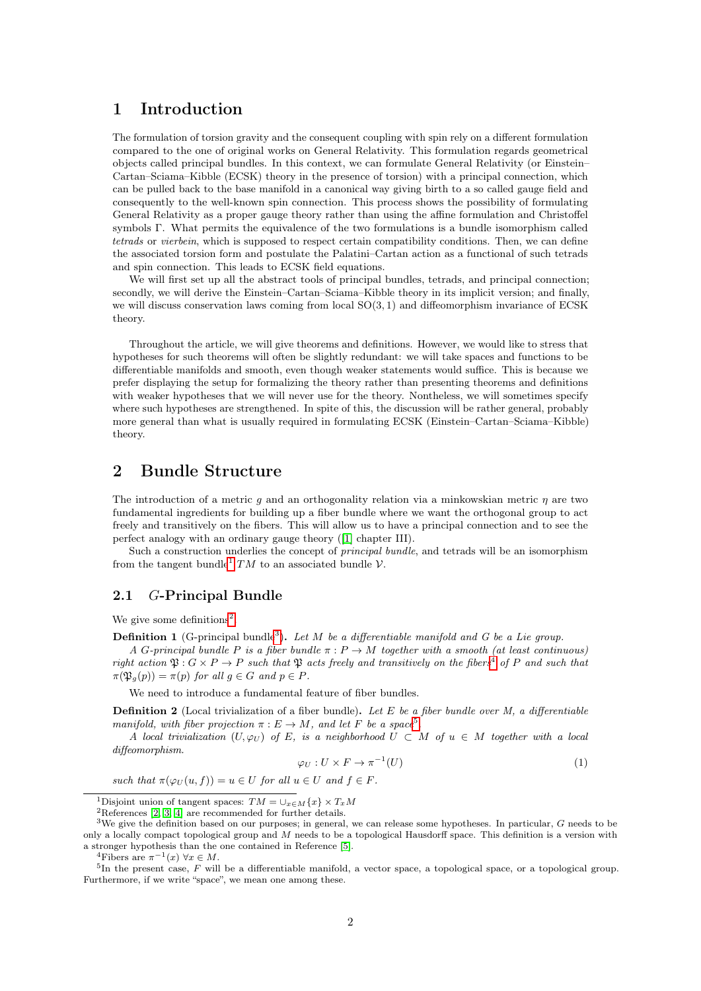# <span id="page-1-0"></span>1 Introduction

The formulation of torsion gravity and the consequent coupling with spin rely on a different formulation compared to the one of original works on General Relativity. This formulation regards geometrical objects called principal bundles. In this context, we can formulate General Relativity (or Einstein– Cartan–Sciama–Kibble (ECSK) theory in the presence of torsion) with a principal connection, which can be pulled back to the base manifold in a canonical way giving birth to a so called gauge field and consequently to the well-known spin connection. This process shows the possibility of formulating General Relativity as a proper gauge theory rather than using the affine formulation and Christoffel symbols Γ. What permits the equivalence of the two formulations is a bundle isomorphism called tetrads or vierbein, which is supposed to respect certain compatibility conditions. Then, we can define the associated torsion form and postulate the Palatini–Cartan action as a functional of such tetrads and spin connection. This leads to ECSK field equations.

We will first set up all the abstract tools of principal bundles, tetrads, and principal connection; secondly, we will derive the Einstein–Cartan–Sciama–Kibble theory in its implicit version; and finally, we will discuss conservation laws coming from local  $SO(3, 1)$  and diffeomorphism invariance of ECSK theory.

Throughout the article, we will give theorems and definitions. However, we would like to stress that hypotheses for such theorems will often be slightly redundant: we will take spaces and functions to be differentiable manifolds and smooth, even though weaker statements would suffice. This is because we prefer displaying the setup for formalizing the theory rather than presenting theorems and definitions with weaker hypotheses that we will never use for the theory. Nontheless, we will sometimes specify where such hypotheses are strengthened. In spite of this, the discussion will be rather general, probably more general than what is usually required in formulating ECSK (Einstein–Cartan–Sciama–Kibble) theory.

# <span id="page-1-1"></span>2 Bundle Structure

The introduction of a metric q and an orthogonality relation via a minkowskian metric  $\eta$  are two fundamental ingredients for building up a fiber bundle where we want the orthogonal group to act freely and transitively on the fibers. This will allow us to have a principal connection and to see the perfect analogy with an ordinary gauge theory ([\[1\]](#page-15-1) chapter III).

Such a construction underlies the concept of *principal bundle*, and tetrads will be an isomorphism from the tangent bundle<sup>[1](#page-1-3)</sup> TM to an associated bundle  $\mathcal{V}$ .

### <span id="page-1-2"></span>2.1 G-Principal Bundle

We give some definitions<sup>[2](#page-1-4)</sup>.

**Definition 1** (G-principal bundle<sup>[3](#page-1-5)</sup>). Let M be a differentiable manifold and G be a Lie group.

A G-principal bundle P is a fiber bundle  $\pi$ :  $P \to M$  together with a smooth (at least continuous) right action  $\mathfrak{P}: G \times P \to P$  such that  $\mathfrak{P}$  acts freely and transitively on the fibers<sup>[4](#page-1-6)</sup> of P and such that  $\pi(\mathfrak{P}_g(p)) = \pi(p)$  for all  $g \in G$  and  $p \in P$ .

We need to introduce a fundamental feature of fiber bundles.

**Definition 2** (Local trivialization of a fiber bundle). Let E be a fiber bundle over M, a differentiable manifold, with fiber projection  $\pi : E \to M$ , and let F be a space<sup>[5](#page-1-7)</sup>.

A local trivialization  $(U, \varphi_U)$  of E, is a neighborhood  $U \subset M$  of  $u \in M$  together with a local diffeomorphism.

$$
\varphi_U: U \times F \to \pi^{-1}(U) \tag{1}
$$

such that  $\pi(\varphi_U(u, f)) = u \in U$  for all  $u \in U$  and  $f \in F$ .

<span id="page-1-7"></span><span id="page-1-6"></span><sup>4</sup>Fibers are  $\pi^{-1}(x)$   $\forall x \in M$ .

<span id="page-1-3"></span><sup>&</sup>lt;sup>1</sup>Disjoint union of tangent spaces:  $TM = \bigcup_{x \in M} \{x\} \times T_xM$ 

<span id="page-1-5"></span><span id="page-1-4"></span><sup>2</sup>References [\[2,](#page-15-2) [3,](#page-16-0) [4\]](#page-16-1) are recommended for further details.

<sup>&</sup>lt;sup>3</sup>We give the definition based on our purposes; in general, we can release some hypotheses. In particular,  $G$  needs to be only a locally compact topological group and  $M$  needs to be a topological Hausdorff space. This definition is a version with a stronger hypothesis than the one contained in Reference [\[5\]](#page-16-2).

 ${}^{5}$ In the present case, F will be a differentiable manifold, a vector space, a topological space, or a topological group. Furthermore, if we write "space", we mean one among these.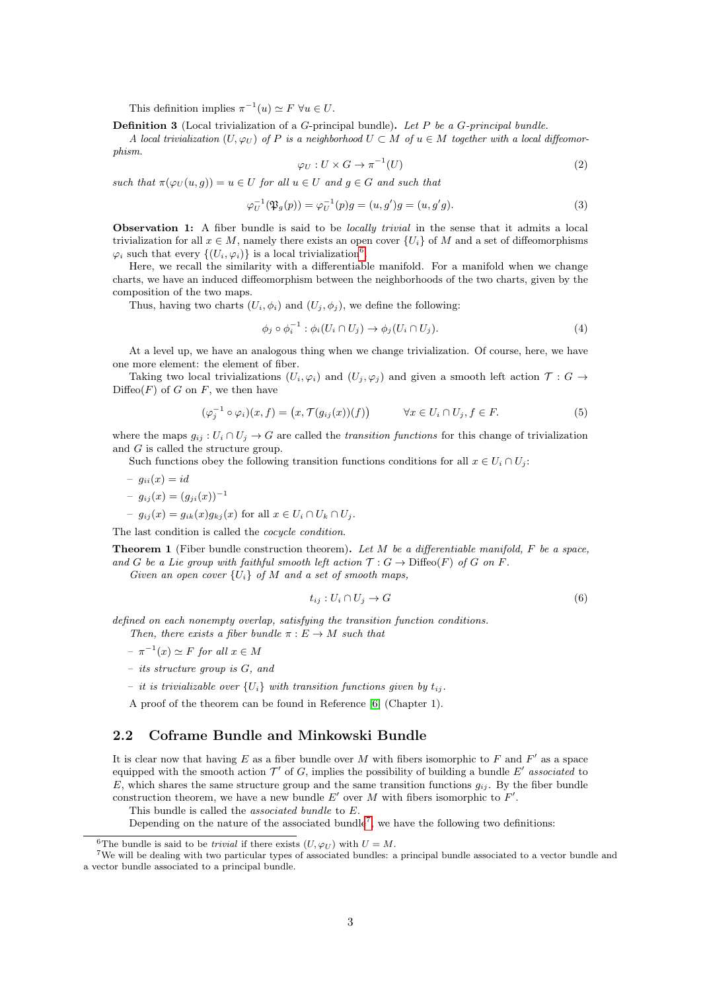This definition implies  $\pi^{-1}(u) \simeq F \ \forall u \in U$ .

Definition 3 (Local trivialization of a G-principal bundle). Let P be a G-principal bundle.

A local trivialization (U,  $\varphi_{U}$ ) of P is a neighborhood  $U \subset M$  of  $u \in M$  together with a local diffeomorphism.

<span id="page-2-3"></span>
$$
\varphi_U: U \times G \to \pi^{-1}(U) \tag{2}
$$

such that  $\pi(\varphi_U(u,q)) = u \in U$  for all  $u \in U$  and  $q \in G$  and such that

$$
\varphi_U^{-1}(\mathfrak{P}_g(p)) = \varphi_U^{-1}(p)g = (u, g')g = (u, g'g). \tag{3}
$$

**Observation 1:** A fiber bundle is said to be *locally trivial* in the sense that it admits a local trivialization for all  $x \in M$ , namely there exists an open cover  $\{U_i\}$  of M and a set of diffeomorphisms  $\varphi_i$  such that every  $\{(U_i, \varphi_i)\}\)$  is a local trivialization<sup>[6](#page-2-1)</sup>.

Here, we recall the similarity with a differentiable manifold. For a manifold when we change charts, we have an induced diffeomorphism between the neighborhoods of the two charts, given by the composition of the two maps.

Thus, having two charts  $(U_i, \phi_i)$  and  $(U_i, \phi_j)$ , we define the following:

$$
\phi_j \circ \phi_i^{-1} : \phi_i(U_i \cap U_j) \to \phi_j(U_i \cap U_j). \tag{4}
$$

At a level up, we have an analogous thing when we change trivialization. Of course, here, we have one more element: the element of fiber.

Taking two local trivializations  $(U_i, \varphi_i)$  and  $(U_i, \varphi_i)$  and given a smooth left action  $\mathcal{T}: G \to$  $\text{Diffeo}(F)$  of G on F, we then have

$$
(\varphi_j^{-1} \circ \varphi_i)(x, f) = (x, \mathcal{T}(g_{ij}(x))(f)) \qquad \forall x \in U_i \cap U_j, f \in F.
$$
\n
$$
(5)
$$

where the maps  $q_{ij} : U_i \cap U_j \to G$  are called the transition functions for this change of trivialization and G is called the structure group.

Such functions obey the following transition functions conditions for all  $x \in U_i \cap U_j$ :

$$
- g_{ii}(x) = id
$$
  

$$
- g_{ij}(x) = (g_{ji}(x))^{-1}
$$

 $-g_{ij}(x) = g_{ik}(x)g_{ki}(x)$  for all  $x \in U_i \cap U_k \cap U_j$ .

The last condition is called the *cocycle condition*.

**Theorem 1** (Fiber bundle construction theorem). Let M be a differentiable manifold, F be a space, and G be a Lie group with faithful smooth left action  $\mathcal{T}: G \to \mathrm{Diffeo}(F)$  of G on F.

Given an open cover  $\{U_i\}$  of M and a set of smooth maps,

$$
t_{ij}: U_i \cap U_j \to G \tag{6}
$$

defined on each nonempty overlap, satisfying the transition function conditions. Then, there exists a fiber bundle  $\pi : E \to M$  such that

- $-\pi^{-1}(x) \simeq F$  for all  $x \in M$
- its structure group is G, and
- it is trivializable over  ${U_i}$  with transition functions given by  $t_{ij}$ .

A proof of the theorem can be found in Reference [\[6\]](#page-16-3) (Chapter 1).

#### <span id="page-2-0"></span>2.2 Coframe Bundle and Minkowski Bundle

It is clear now that having E as a fiber bundle over M with fibers isomorphic to F and  $F'$  as a space equipped with the smooth action  $\mathcal{T}'$  of G, implies the possibility of building a bundle E' associated to E, which shares the same structure group and the same transition functions  $g_{ij}$ . By the fiber bundle construction theorem, we have a new bundle  $E'$  over M with fibers isomorphic to  $F'$ .

This bundle is called the associated bundle to E.

Depending on the nature of the associated bundle<sup>[7](#page-2-2)</sup>, we have the following two definitions:

<span id="page-2-2"></span><span id="page-2-1"></span><sup>&</sup>lt;sup>6</sup>The bundle is said to be *trivial* if there exists  $(U, \varphi_U)$  with  $U = M$ .

<sup>&</sup>lt;sup>7</sup>We will be dealing with two particular types of associated bundles: a principal bundle associated to a vector bundle and a vector bundle associated to a principal bundle.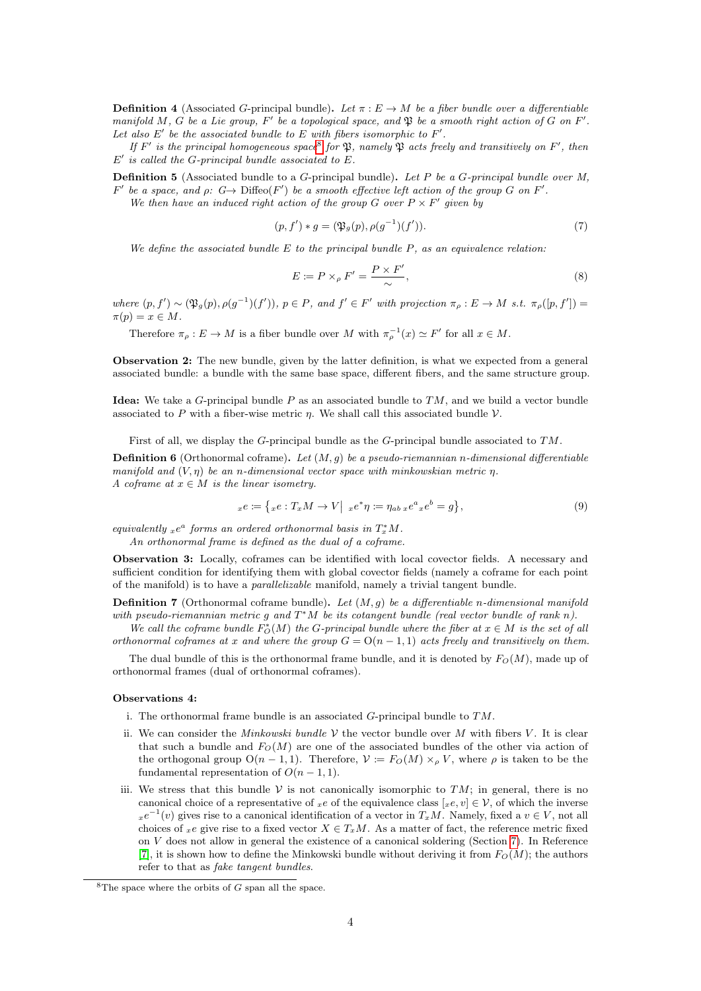**Definition 4** (Associated G-principal bundle). Let  $\pi : E \to M$  be a fiber bundle over a differentiable manifold M, G be a Lie group, F' be a topological space, and  $\mathfrak P$  be a smooth right action of G on F'. Let also  $E'$  be the associated bundle to E with fibers isomorphic to  $F'$ .

If F' is the principal homogeneous space<sup>[8](#page-3-0)</sup> for  $\mathfrak{P}$ , namely  $\mathfrak{P}$  acts freely and transitively on F', then  $E'$  is called the G-principal bundle associated to  $E$ .

**Definition 5** (Associated bundle to a  $G$ -principal bundle). Let P be a  $G$ -principal bundle over  $M$ ,  $F'$  be a space, and  $\rho: G \to \text{Diffeo}(F')$  be a smooth effective left action of the group G on F'. We then have an induced right action of the group G over  $P \times F'$  given by

$$
(p, f') * g = (\mathfrak{P}_g(p), \rho(g^{-1})(f')). \tag{7}
$$

We define the associated bundle  $E$  to the principal bundle  $P$ , as an equivalence relation:

$$
E := P \times_{\rho} F' = \frac{P \times F'}{\sim},\tag{8}
$$

where  $(p, f') \sim (\mathfrak{P}_g(p), \rho(g^{-1})(f'))$ ,  $p \in P$ , and  $f' \in F'$  with projection  $\pi_\rho : E \to M$  s.t.  $\pi_\rho([p, f']) =$  $\pi(p) = x \in M$ .

Therefore  $\pi_{\rho}: E \to M$  is a fiber bundle over M with  $\pi_{\rho}^{-1}(x) \simeq F'$  for all  $x \in M$ .

Observation 2: The new bundle, given by the latter definition, is what we expected from a general associated bundle: a bundle with the same base space, different fibers, and the same structure group.

**Idea:** We take a  $G$ -principal bundle  $P$  as an associated bundle to  $TM$ , and we build a vector bundle associated to P with a fiber-wise metric  $\eta$ . We shall call this associated bundle  $\mathcal V$ .

First of all, we display the G-principal bundle as the G-principal bundle associated to TM.

**Definition 6** (Orthonormal coframe). Let  $(M, g)$  be a pseudo-riemannian n-dimensional differentiable manifold and  $(V, \eta)$  be an n-dimensional vector space with minkowskian metric  $\eta$ . A coframe at  $x \in M$  is the linear isometry.

$$
{}_xe := \{ {}_xe : T_xM \to V \Big| {}_xe^*\eta := \eta_{ab}{}_xe^a{}_xe^b = g \},
$$
\n(9)

equivalently  $_{x}e^{a}$  forms an ordered orthonormal basis in  $T_{x}^{*}M$ .

An orthonormal frame is defined as the dual of a coframe.

Observation 3: Locally, coframes can be identified with local covector fields. A necessary and sufficient condition for identifying them with global covector fields (namely a coframe for each point of the manifold) is to have a parallelizable manifold, namely a trivial tangent bundle.

**Definition 7** (Orthonormal coframe bundle). Let  $(M, g)$  be a differentiable n-dimensional manifold with pseudo-riemannian metric g and  $T^*M$  be its cotangent bundle (real vector bundle of rank n).

We call the coframe bundle  $F_O^*(M)$  the G-principal bundle where the fiber at  $x \in M$  is the set of all orthonormal coframes at x and where the group  $G = O(n-1,1)$  acts freely and transitively on them.

The dual bundle of this is the orthonormal frame bundle, and it is denoted by  $F_O(M)$ , made up of orthonormal frames (dual of orthonormal coframes).

#### Observations 4:

- i. The orthonormal frame bundle is an associated  $G$ -principal bundle to  $TM$ .
- ii. We can consider the *Minkowski bundle*  $V$  the vector bundle over M with fibers V. It is clear that such a bundle and  $F<sub>O</sub>(M)$  are one of the associated bundles of the other via action of the orthogonal group  $O(n-1,1)$ . Therefore,  $\mathcal{V} := F_O(M) \times_{\rho} V$ , where  $\rho$  is taken to be the fundamental representation of  $O(n-1,1)$ .
- iii. We stress that this bundle V is not canonically isomorphic to  $TM$ ; in general, there is no canonical choice of a representative of xe of the equivalence class  $[x, e, v] \in V$ , of which the inverse  $xe^{-1}(v)$  gives rise to a canonical identification of a vector in  $T_xM$ . Namely, fixed a  $v \in V$ , not all choices of xe give rise to a fixed vector  $X \in T_xM$ . As a matter of fact, the reference metric fixed on V does not allow in general the existence of a canonical soldering (Section [7\)](#page-11-1). In Reference [\[7\]](#page-16-4), it is shown how to define the Minkowski bundle without deriving it from  $F_O(M)$ ; the authors refer to that as fake tangent bundles.

<span id="page-3-0"></span> $8$ The space where the orbits of G span all the space.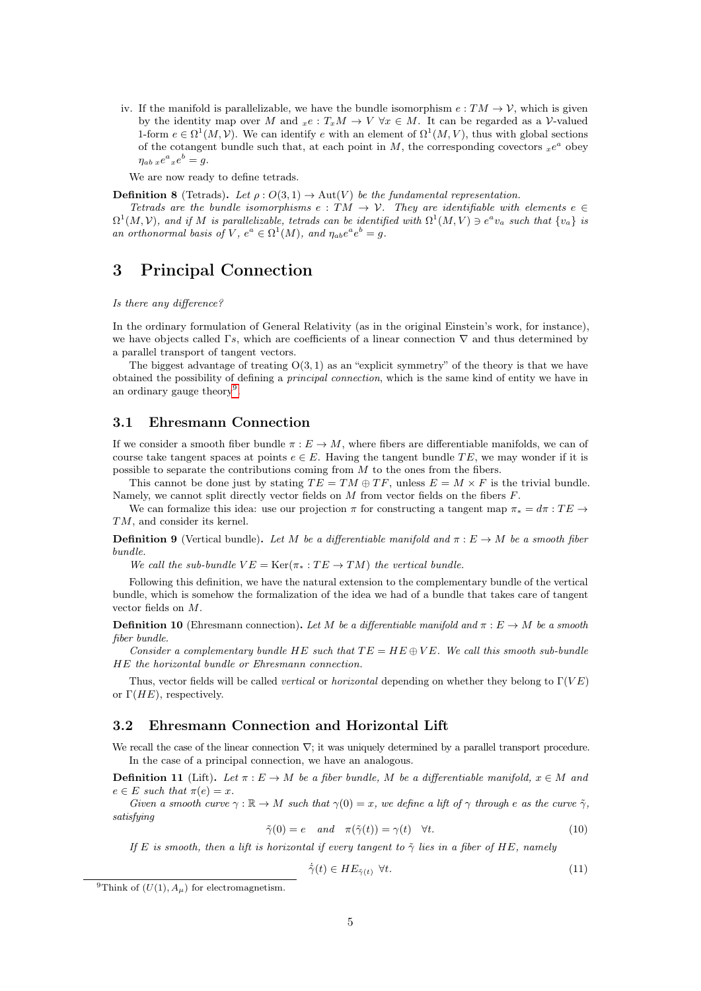iv. If the manifold is parallelizable, we have the bundle isomorphism  $e: TM \to V$ , which is given by the identity map over M and  $_{x}e : T_xM \to V \forall x \in M$ . It can be regarded as a V-valued 1-form  $e \in \Omega^1(M, V)$ . We can identify e with an element of  $\Omega^1(M, V)$ , thus with global sections of the cotangent bundle such that, at each point in M, the corresponding covectors  $_{x}e^{a}$  obey  $\eta_{ab\;x}e^a{}_xe^b=g.$ 

We are now ready to define tetrads.

**Definition 8** (Tetrads). Let  $\rho: O(3, 1) \to \text{Aut}(V)$  be the fundamental representation.

Tetrads are the bundle isomorphisms e :  $TM \rightarrow V$ . They are identifiable with elements  $e \in$  $\Omega^1(M, V)$ , and if M is parallelizable, tetrads can be identified with  $\Omega^1(M, V) \ni e^a v_a$  such that  $\{v_a\}$  is an orthonormal basis of V,  $e^a \in \Omega^1(M)$ , and  $\eta_{ab}e^a e^b = g$ .

# <span id="page-4-0"></span>3 Principal Connection

#### Is there any difference?

In the ordinary formulation of General Relativity (as in the original Einstein's work, for instance), we have objects called Γs, which are coefficients of a linear connection  $\nabla$  and thus determined by a parallel transport of tangent vectors.

The biggest advantage of treating  $O(3, 1)$  as an "explicit symmetry" of the theory is that we have obtained the possibility of defining a principal connection, which is the same kind of entity we have in an ordinary gauge theory<sup>[9](#page-4-3)</sup>.

#### <span id="page-4-1"></span>3.1 Ehresmann Connection

If we consider a smooth fiber bundle  $\pi : E \to M$ , where fibers are differentiable manifolds, we can of course take tangent spaces at points  $e \in E$ . Having the tangent bundle TE, we may wonder if it is possible to separate the contributions coming from  $M$  to the ones from the fibers.

This cannot be done just by stating  $TE = TM \oplus TF$ , unless  $E = M \times F$  is the trivial bundle. Namely, we cannot split directly vector fields on  $M$  from vector fields on the fibers  $F$ .

We can formalize this idea: use our projection  $\pi$  for constructing a tangent map  $\pi_* = d\pi : TE \rightarrow$ TM, and consider its kernel.

**Definition 9** (Vertical bundle). Let M be a differentiable manifold and  $\pi : E \to M$  be a smooth fiber bundle.

We call the sub-bundle  $VE = \text{Ker}(\pi_* : TE \to TM)$  the vertical bundle.

Following this definition, we have the natural extension to the complementary bundle of the vertical bundle, which is somehow the formalization of the idea we had of a bundle that takes care of tangent vector fields on M.

**Definition 10** (Ehresmann connection). Let M be a differentiable manifold and  $\pi : E \to M$  be a smooth fiber bundle.

Consider a complementary bundle HE such that  $TE = HE \oplus VE$ . We call this smooth sub-bundle HE the horizontal bundle or Ehresmann connection.

Thus, vector fields will be called *vertical* or *horizontal* depending on whether they belong to  $\Gamma(VE)$ or  $\Gamma(HE)$ , respectively.

#### <span id="page-4-2"></span>3.2 Ehresmann Connection and Horizontal Lift

We recall the case of the linear connection  $\nabla$ ; it was uniquely determined by a parallel transport procedure. In the case of a principal connection, we have an analogous.

**Definition 11** (Lift). Let  $\pi : E \to M$  be a fiber bundle, M be a differentiable manifold,  $x \in M$  and  $e \in E$  such that  $\pi(e) = x$ .

Given a smooth curve  $\gamma : \mathbb{R} \to M$  such that  $\gamma(0) = x$ , we define a lift of  $\gamma$  through e as the curve  $\tilde{\gamma}$ , satisfying

$$
\tilde{\gamma}(0) = e \quad and \quad \pi(\tilde{\gamma}(t)) = \gamma(t) \quad \forall t.
$$
\n(10)

If E is smooth, then a lift is horizontal if every tangent to  $\tilde{\gamma}$  lies in a fiber of HE, namely

$$
\dot{\tilde{\gamma}}(t) \in HE_{\tilde{\gamma}(t)} \quad \forall t. \tag{11}
$$

<span id="page-4-3"></span><sup>&</sup>lt;sup>9</sup>Think of  $(U(1), A_\mu)$  for electromagnetism.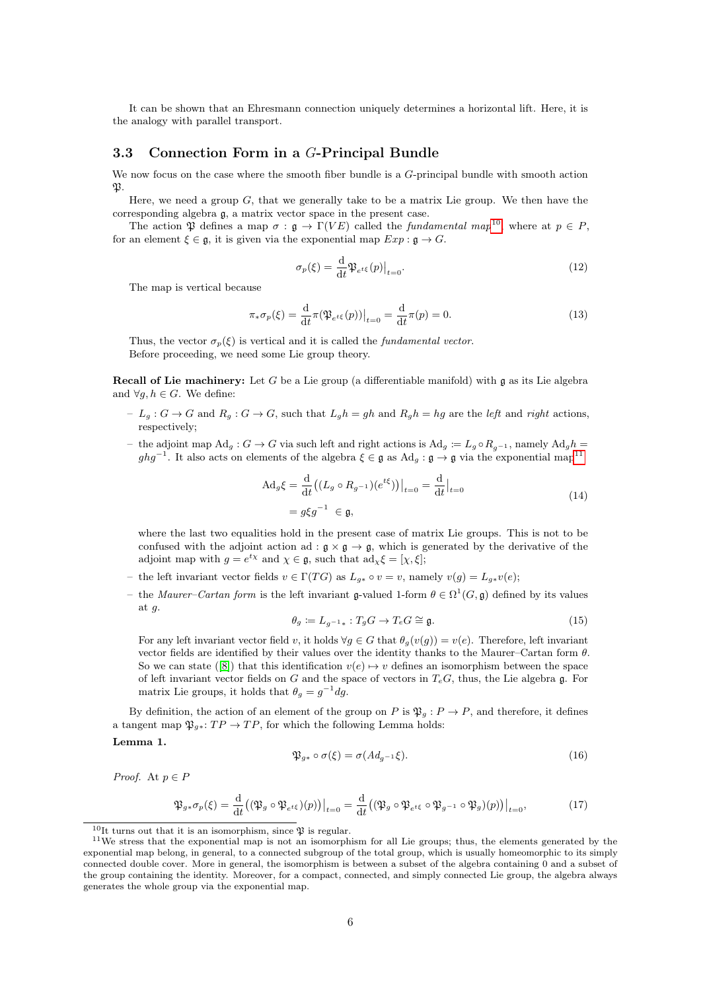It can be shown that an Ehresmann connection uniquely determines a horizontal lift. Here, it is the analogy with parallel transport.

### <span id="page-5-0"></span>3.3 Connection Form in a G-Principal Bundle

We now focus on the case where the smooth fiber bundle is a G-principal bundle with smooth action  $\mathfrak{N}$ .

Here, we need a group  $G$ , that we generally take to be a matrix Lie group. We then have the corresponding algebra g, a matrix vector space in the present case.

The action  $\mathfrak P$  defines a map  $\sigma : \mathfrak g \to \Gamma(VE)$  called the *fundamental map*<sup>[10](#page-5-1)</sup>, where at  $p \in P$ , for an element  $\xi \in \mathfrak{g}$ , it is given via the exponential map  $Exp : \mathfrak{g} \to G$ .

$$
\sigma_p(\xi) = \frac{\mathrm{d}}{\mathrm{d}t} \mathfrak{P}_{e^{t\xi}}(p)|_{t=0}.\tag{12}
$$

The map is vertical because

$$
\pi_* \sigma_p(\xi) = \frac{\mathrm{d}}{\mathrm{d}t} \pi(\mathfrak{P}_{e^{t\xi}}(p))\big|_{t=0} = \frac{\mathrm{d}}{\mathrm{d}t} \pi(p) = 0. \tag{13}
$$

Thus, the vector  $\sigma_p(\xi)$  is vertical and it is called the *fundamental vector*. Before proceeding, we need some Lie group theory.

**Recall of Lie machinery:** Let G be a Lie group (a differentiable manifold) with  $\mathfrak{g}$  as its Lie algebra and  $\forall q, h \in G$ . We define:

- $L_g: G \to G$  and  $R_g: G \to G$ , such that  $L_g h = gh$  and  $R_g h = hg$  are the left and right actions, respectively;
- the adjoint map  $\text{Ad}_q: G \to G$  via such left and right actions is  $\text{Ad}_q := L_q \circ R_{q-1}$ , namely  $\text{Ad}_q h =$  $ghg^{-1}$ . It also acts on elements of the algebra  $\xi \in \mathfrak{g}$  as  $\mathrm{Ad}_g : \mathfrak{g} \to \mathfrak{g}$  via the exponential map<sup>[11](#page-5-2)</sup>

$$
\begin{aligned} \mathrm{Ad}_g \xi &= \frac{\mathrm{d}}{\mathrm{d}t} \big( (L_g \circ R_{g^{-1}})(e^{t\xi}) \big) \big|_{t=0} = \frac{\mathrm{d}}{\mathrm{d}t} \big|_{t=0} \\ &= g \xi g^{-1} \in \mathfrak{g}, \end{aligned} \tag{14}
$$

where the last two equalities hold in the present case of matrix Lie groups. This is not to be confused with the adjoint action ad :  $\mathfrak{g} \times \mathfrak{g} \to \mathfrak{g}$ , which is generated by the derivative of the adjoint map with  $g = e^{t\chi}$  and  $\chi \in \mathfrak{g}$ , such that  $ad_{\chi} \xi = [\chi, \xi]$ ;

- the left invariant vector fields  $v \in \Gamma(TG)$  as  $L_{q*} \circ v = v$ , namely  $v(g) = L_{q*}v(e)$ ;
- the *Maurer–Cartan form* is the left invariant g-valued 1-form  $\theta \in \Omega^1(G, \mathfrak{g})$  defined by its values at g.

$$
\theta_g \coloneqq L_{g^{-1}*}: T_g G \to T_e G \cong \mathfrak{g}.\tag{15}
$$

For any left invariant vector field v, it holds  $\forall q \in G$  that  $\theta_q(v(q)) = v(e)$ . Therefore, left invariant vector fields are identified by their values over the identity thanks to the Maurer–Cartan form  $\theta$ . So we can state ([\[8\]](#page-16-5)) that this identification  $v(e) \rightarrow v$  defines an isomorphism between the space of left invariant vector fields on G and the space of vectors in  $T_eG$ , thus, the Lie algebra g. For matrix Lie groups, it holds that  $\theta_g = g^{-1} dg$ .

By definition, the action of an element of the group on P is  $\mathfrak{P}_q : P \to P$ , and therefore, it defines a tangent map  $\mathfrak{P}_{g*}: TP \to TP$ , for which the following Lemma holds:

<span id="page-5-3"></span>Lemma 1.

$$
\mathfrak{P}_{g*} \circ \sigma(\xi) = \sigma(Ad_{g^{-1}}\xi). \tag{16}
$$

*Proof.* At  $p \in P$ 

$$
\mathfrak{P}_{g*\sigma_p}(\xi) = \frac{\mathrm{d}}{\mathrm{d}t} \big( (\mathfrak{P}_g \circ \mathfrak{P}_{e^{t\xi}})(p) \big) \big|_{t=0} = \frac{\mathrm{d}}{\mathrm{d}t} \big( (\mathfrak{P}_g \circ \mathfrak{P}_{e^{t\xi}} \circ \mathfrak{P}_{g^{-1}} \circ \mathfrak{P}_g)(p) \big) \big|_{t=0},\tag{17}
$$

<span id="page-5-2"></span><span id="page-5-1"></span> $^{10}{\rm It}$  turns out that it is an isomorphism, since  $\mathfrak P$  is regular.

<sup>&</sup>lt;sup>11</sup>We stress that the exponential map is not an isomorphism for all Lie groups; thus, the elements generated by the exponential map belong, in general, to a connected subgroup of the total group, which is usually homeomorphic to its simply connected double cover. More in general, the isomorphism is between a subset of the algebra containing 0 and a subset of the group containing the identity. Moreover, for a compact, connected, and simply connected Lie group, the algebra always generates the whole group via the exponential map.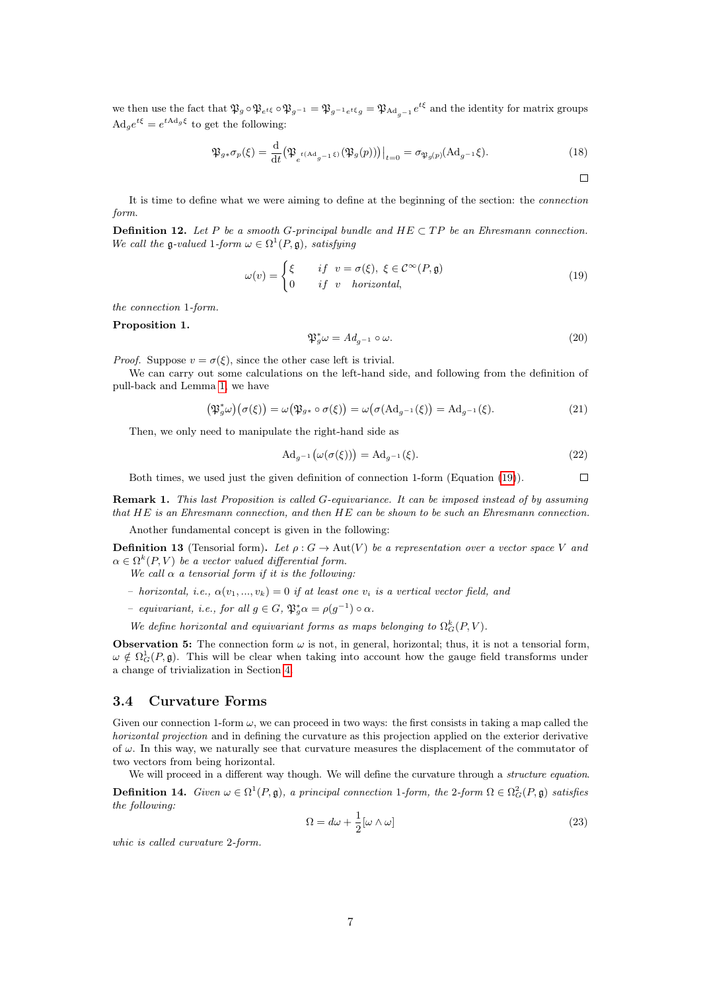we then use the fact that  $\mathfrak{P}_g \circ \mathfrak{P}_{e^{t\xi}} \circ \mathfrak{P}_{g^{-1}} = \mathfrak{P}_{g^{-1}e^{t\xi}} g = \mathfrak{P}_{\text{Ad}_{g^{-1}}} e^{t\xi}$  and the identity for matrix groups  $\mathrm{Ad}_g e^{t\xi} = e^{t\mathrm{Ad}_g \xi}$  to get the following:

$$
\mathfrak{P}_{g*}\sigma_p(\xi) = \frac{\mathrm{d}}{\mathrm{d}t} \big( \mathfrak{P}_{e^{t(\mathrm{Ad}_{g^{-1}}\xi)}}(\mathfrak{P}_g(p)) \big) \big|_{t=0} = \sigma_{\mathfrak{P}_g(p)}(\mathrm{Ad}_{g^{-1}}\xi). \tag{18}
$$

It is time to define what we were aiming to define at the beginning of the section: the connection form.

**Definition 12.** Let P be a smooth G-principal bundle and  $HE \subset TP$  be an Ehresmann connection. We call the g-valued 1-form  $\omega \in \Omega^1(P, \mathfrak{g})$ , satisfying

<span id="page-6-1"></span>
$$
\omega(v) = \begin{cases} \xi & \text{if } v = \sigma(\xi), \ \xi \in \mathcal{C}^{\infty}(P, \mathfrak{g}) \\ 0 & \text{if } v \quad \text{horizontal}, \end{cases}
$$
(19)

the connection 1-form.

Proposition 1.

$$
\mathfrak{P}_g^* \omega = A d_{g^{-1}} \circ \omega. \tag{20}
$$

*Proof.* Suppose  $v = \sigma(\xi)$ , since the other case left is trivial.

We can carry out some calculations on the left-hand side, and following from the definition of pull-back and Lemma [1,](#page-5-3) we have

$$
\left(\mathfrak{P}_g^*\omega\right)\left(\sigma(\xi)\right) = \omega\left(\mathfrak{P}_{g*} \circ \sigma(\xi)\right) = \omega\left(\sigma(\mathrm{Ad}_{g^{-1}}(\xi)\right) = \mathrm{Ad}_{g^{-1}}(\xi). \tag{21}
$$

Then, we only need to manipulate the right-hand side as

$$
\mathrm{Ad}_{g^{-1}}\big(\omega(\sigma(\xi))\big) = \mathrm{Ad}_{g^{-1}}(\xi). \tag{22}
$$

 $\Box$ Both times, we used just the given definition of connection 1-form (Equation [\(19\)](#page-6-1)).

Remark 1. This last Proposition is called G-equivariance. It can be imposed instead of by assuming that HE is an Ehresmann connection, and then HE can be shown to be such an Ehresmann connection.

Another fundamental concept is given in the following:

**Definition 13** (Tensorial form). Let  $\rho : G \to \text{Aut}(V)$  be a representation over a vector space V and  $\alpha \in \Omega^k(P, V)$  be a vector valued differential form.

We call  $\alpha$  a tensorial form if it is the following:

- horizontal, i.e.,  $\alpha(v_1, ..., v_k) = 0$  if at least one  $v_i$  is a vertical vector field, and
- equivariant, i.e., for all  $g \in G$ ,  $\mathfrak{P}_{g}^{*} \alpha = \rho(g^{-1}) \circ \alpha$ .
- We define horizontal and equivariant forms as maps belonging to  $\Omega_G^k(P, V)$ .

**Observation 5:** The connection form  $\omega$  is not, in general, horizontal; thus, it is not a tensorial form,  $\omega \notin \Omega_G^1(P, \mathfrak{g})$ . This will be clear when taking into account how the gauge field transforms under a change of trivialization in Section [4.](#page-7-0)

#### <span id="page-6-0"></span>3.4 Curvature Forms

Given our connection 1-form  $\omega$ , we can proceed in two ways: the first consists in taking a map called the horizontal projection and in defining the curvature as this projection applied on the exterior derivative of  $\omega$ . In this way, we naturally see that curvature measures the displacement of the commutator of two vectors from being horizontal.

We will proceed in a different way though. We will define the curvature through a *structure equation*. **Definition 14.** Given  $\omega \in \Omega^1(P, \mathfrak{g})$ , a principal connection 1-form, the 2-form  $\Omega \in \Omega^2(G(P, \mathfrak{g})$  satisfies the following:

<span id="page-6-2"></span>
$$
\Omega = d\omega + \frac{1}{2} [\omega \wedge \omega]
$$
\n(23)

whic is called curvature 2-form.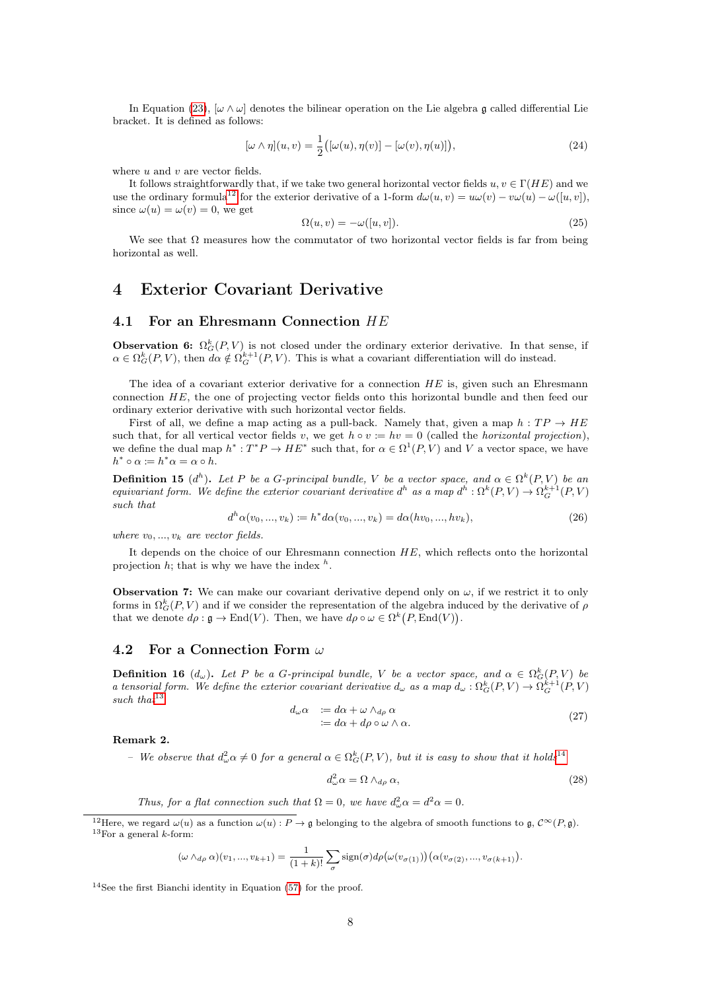In Equation [\(23\)](#page-6-2),  $[\omega \wedge \omega]$  denotes the bilinear operation on the Lie algebra g called differential Lie bracket. It is defined as follows:

$$
[\omega \wedge \eta](u,v) = \frac{1}{2}([\omega(u), \eta(v)] - [\omega(v), \eta(u)]), \qquad (24)
$$

where  $u$  and  $v$  are vector fields.

It follows straightforwardly that, if we take two general horizontal vector fields  $u, v \in \Gamma(HE)$  and we use the ordinary formula<sup>[12](#page-7-3)</sup> for the exterior derivative of a 1-form  $d\omega(u, v) = u\omega(v) - v\omega(u) - \omega([u, v]),$ since  $\omega(u) = \omega(v) = 0$ , we get

$$
\Omega(u, v) = -\omega([u, v]).\tag{25}
$$

We see that  $\Omega$  measures how the commutator of two horizontal vector fields is far from being horizontal as well.

### <span id="page-7-0"></span>4 Exterior Covariant Derivative

#### <span id="page-7-1"></span>4.1 For an Ehresmann Connection  $HE$

**Observation 6:**  $\Omega_G^k(P, V)$  is not closed under the ordinary exterior derivative. In that sense, if  $\alpha \in \Omega_G^k(P, V)$ , then  $d\alpha \notin \Omega_G^{k+1}(P, V)$ . This is what a covariant differentiation will do instead.

The idea of a covariant exterior derivative for a connection  $HE$  is, given such an Ehresmann connection HE, the one of projecting vector fields onto this horizontal bundle and then feed our ordinary exterior derivative with such horizontal vector fields.

First of all, we define a map acting as a pull-back. Namely that, given a map  $h : TP \rightarrow HE$ such that, for all vertical vector fields v, we get  $h \circ v := hv = 0$  (called the *horizontal projection*). we define the dual map  $h^*: T^*P \to HE^*$  such that, for  $\alpha \in \Omega^1(P, V)$  and V a vector space, we have  $h^* \circ \alpha \coloneqq h^* \alpha = \alpha \circ h.$ 

**Definition 15** (d<sup>h</sup>). Let P be a G-principal bundle, V be a vector space, and  $\alpha \in \Omega^k(P, V)$  be an equivariant form. We define the exterior covariant derivative  $d^h$  as a map  $d^h: \Omega^k(P, V) \to \Omega^{k+1}_G(P, V)$ such that

<span id="page-7-6"></span>
$$
d^{h} \alpha(v_{0},...,v_{k}) \coloneqq h^{*} d \alpha(v_{0},...,v_{k}) = d \alpha(hv_{0},...,hv_{k}), \qquad (26)
$$

where  $v_0, ..., v_k$  are vector fields.

It depends on the choice of our Ehresmann connection HE, which reflects onto the horizontal projection  $h$ ; that is why we have the index  $h$ .

**Observation 7:** We can make our covariant derivative depend only on  $\omega$ , if we restrict it to only forms in  $\Omega_G^k(P, V)$  and if we consider the representation of the algebra induced by the derivative of  $\rho$ that we denote  $d\rho : \mathfrak{g} \to \text{End}(V)$ . Then, we have  $d\rho \circ \omega \in \Omega^k(P, \text{End}(V))$ .

#### <span id="page-7-2"></span>4.2 For a Connection Form  $\omega$

**Definition 16**  $(d_{\omega})$ . Let P be a G-principal bundle, V be a vector space, and  $\alpha \in \Omega_G^k(P, V)$  be a tensorial form. We define the exterior covariant derivative  $d_{\omega}$  as a map  $d_{\omega} : \Omega_G^k(P, V) \to \Omega_G^{k+1}(P, V)$ such that  $13$ 

$$
d_{\omega}\alpha := d\alpha + \omega \wedge_{d\rho} \alpha
$$
  
 :=  $d\alpha + d\rho \circ \omega \wedge \alpha$ . (27)

<span id="page-7-7"></span>Remark 2.

- We observe that  $d_{\omega}^2 \alpha \neq 0$  for a general  $\alpha \in \Omega_G^k(P, V)$ , but it is easy to show that it holds<sup>[14](#page-7-5)</sup>

<span id="page-7-8"></span>
$$
d_{\omega}^2 \alpha = \Omega \wedge_{d\rho} \alpha,\tag{28}
$$

Thus, for a flat connection such that  $\Omega = 0$ , we have  $d_{\omega}^2 \alpha = d^2 \alpha = 0$ .

$$
(\omega \wedge_{d\rho} \alpha)(v_1, ..., v_{k+1}) = \frac{1}{(1+k)!} \sum_{\sigma} sign(\sigma) d\rho(\omega(v_{\sigma(1)})) (\alpha(v_{\sigma(2)}, ..., v_{\sigma(k+1)})).
$$

<span id="page-7-5"></span><sup>14</sup>See the first Bianchi identity in Equation [\(57\)](#page-12-3) for the proof.

<span id="page-7-4"></span><span id="page-7-3"></span><sup>&</sup>lt;sup>12</sup>Here, we regard  $\omega(u)$  as a function  $\omega(u): P \to \mathfrak{a}$  belonging to the algebra of smooth functions to  $\mathfrak{a}, C^{\infty}(P, \mathfrak{a})$ .  $13$ For a general k-form: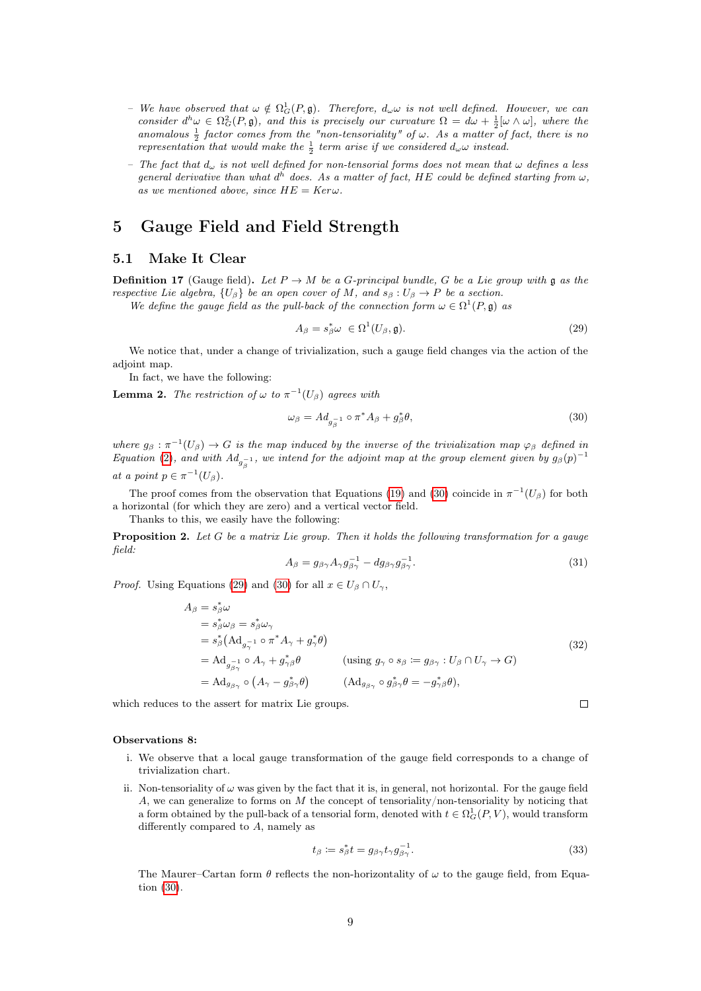- We have observed that  $\omega \notin \Omega^1_G(P, \mathfrak{g})$ . Therefore,  $d_{\omega} \omega$  is not well defined. However, we can consider  $d^h\omega \in \Omega_G^2(P, \mathfrak{g})$ , and this is precisely our curvature  $\Omega = d\omega + \frac{1}{2}[\omega \wedge \omega]$ , where the anomalous  $\frac{1}{2}$  factor comes from the "non-tensoriality" of  $\omega$ . As a matter of fact, there is no representation that would make the  $\frac{1}{2}$  term arise if we considered  $d_{\omega} \omega$  instead.
- The fact that  $d_{\omega}$  is not well defined for non-tensorial forms does not mean that  $\omega$  defines a less general derivative than what  $d^h$  does. As a matter of fact, HE could be defined starting from  $\omega$ , as we mentioned above, since  $HE = Ker\omega$ .

# <span id="page-8-0"></span>5 Gauge Field and Field Strength

#### <span id="page-8-1"></span>5.1 Make It Clear

**Definition 17** (Gauge field). Let  $P \rightarrow M$  be a G-principal bundle, G be a Lie group with g as the respective Lie algebra,  $\{U_\beta\}$  be an open cover of M, and  $s_\beta : U_\beta \to P$  be a section.

We define the gauge field as the pull-back of the connection form  $\omega \in \Omega^1(P, \mathfrak{g})$  as

<span id="page-8-3"></span>
$$
A_{\beta} = s_{\beta}^* \omega \in \Omega^1(U_{\beta}, \mathfrak{g}). \tag{29}
$$

We notice that, under a change of trivialization, such a gauge field changes via the action of the adjoint map.

In fact, we have the following:

**Lemma 2.** The restriction of  $\omega$  to  $\pi^{-1}(U_\beta)$  agrees with

<span id="page-8-2"></span>
$$
\omega_{\beta} = Ad_{g_{\beta}^{-1}} \circ \pi^* A_{\beta} + g_{\beta}^* \theta, \tag{30}
$$

where  $g_\beta : \pi^{-1}(U_\beta) \to G$  is the map induced by the inverse of the trivialization map  $\varphi_\beta$  defined in Equation [\(2\)](#page-2-3), and with  $Ad_{g^{-1}_\beta}$ , we intend for the adjoint map at the group element given by  $g_\beta(p)^{-1}$ at a point  $p \in \pi^{-1}(U_\beta)$ .

The proof comes from the observation that Equations [\(19\)](#page-6-1) and [\(30\)](#page-8-2) coincide in  $\pi^{-1}(U_\beta)$  for both a horizontal (for which they are zero) and a vertical vector field.

Thanks to this, we easily have the following:

**Proposition 2.** Let  $G$  be a matrix Lie group. Then it holds the following transformation for a gauge field:

<span id="page-8-5"></span>
$$
A_{\beta} = g_{\beta\gamma} A_{\gamma} g_{\beta\gamma}^{-1} - dg_{\beta\gamma} g_{\beta\gamma}^{-1}.
$$
\n(31)

*Proof.* Using Equations [\(29\)](#page-8-3) and [\(30\)](#page-8-2) for all  $x \in U_\beta \cap U_\gamma$ ,

$$
A_{\beta} = s_{\beta}^{*} \omega
$$
  
\n
$$
= s_{\beta}^{*} \omega_{\beta} = s_{\beta}^{*} \omega_{\gamma}
$$
  
\n
$$
= s_{\beta}^{*} (Ad_{g_{\gamma}^{-1}} \circ \pi^{*} A_{\gamma} + g_{\gamma}^{*} \theta)
$$
  
\n
$$
= Ad_{g_{\beta\gamma}^{-1}} \circ A_{\gamma} + g_{\gamma\beta}^{*} \theta
$$
 (using  $g_{\gamma} \circ s_{\beta} := g_{\beta\gamma} : U_{\beta} \cap U_{\gamma} \to G$ )  
\n
$$
= Ad_{g_{\beta\gamma}} \circ (A_{\gamma} - g_{\beta\gamma}^{*} \theta)
$$
 (Ad $g_{\beta\gamma} \circ g_{\beta\gamma}^{*} \theta = -g_{\gamma\beta}^{*} \theta$ ), (A $d_{g_{\beta\gamma}} \circ g_{\beta\gamma}^{*} \theta = -g_{\gamma\beta}^{*} \theta$ ), (A $\phi_{\beta\gamma} \circ g_{\beta\gamma}^{*} \theta = -g_{\gamma\beta}^{*} \theta$ )

which reduces to the assert for matrix Lie groups.

#### Observations 8:

- i. We observe that a local gauge transformation of the gauge field corresponds to a change of trivialization chart.
- ii. Non-tensoriality of  $\omega$  was given by the fact that it is, in general, not horizontal. For the gauge field A, we can generalize to forms on  $M$  the concept of tensoriality/non-tensoriality by noticing that a form obtained by the pull-back of a tensorial form, denoted with  $t \in \Omega_G^1(P, V)$ , would transform differently compared to A, namely as

<span id="page-8-4"></span>
$$
t_{\beta} \coloneqq s_{\beta}^* t = g_{\beta \gamma} t_{\gamma} g_{\beta \gamma}^{-1}.
$$
\n(33)

 $\Box$ 

The Maurer–Cartan form  $\theta$  reflects the non-horizontality of  $\omega$  to the gauge field, from Equation [\(30\)](#page-8-2).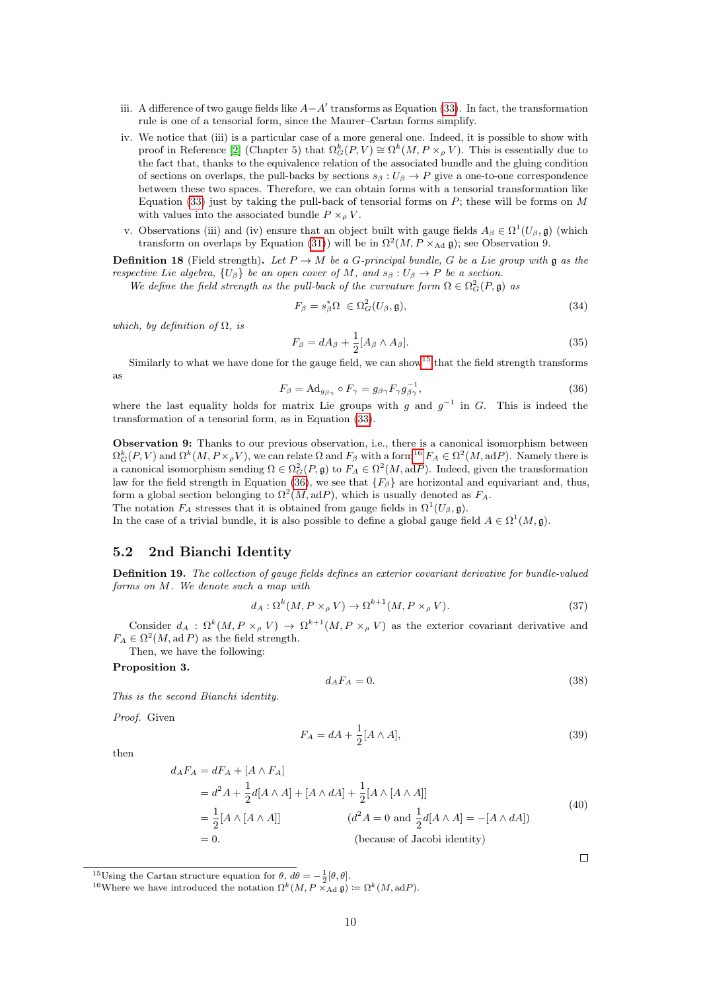- iii. A difference of two gauge fields like  $A A'$  transforms as Equation [\(33\)](#page-8-4). In fact, the transformation rule is one of a tensorial form, since the Maurer–Cartan forms simplify.
- iv. We notice that (iii) is a particular case of a more general one. Indeed, it is possible to show with proof in Reference [\[2\]](#page-15-2) (Chapter 5) that  $\Omega_G^k(P, V) \cong \Omega^k(M, P \times_{\rho} V)$ . This is essentially due to the fact that, thanks to the equivalence relation of the associated bundle and the gluing condition of sections on overlaps, the pull-backs by sections  $s_{\beta}: U_{\beta} \to P$  give a one-to-one correspondence between these two spaces. Therefore, we can obtain forms with a tensorial transformation like Equation [\(33\)](#page-8-4) just by taking the pull-back of tensorial forms on  $P$ ; these will be forms on  $M$ with values into the associated bundle  $P \times_{\rho} V$ .
- v. Observations (iii) and (iv) ensure that an object built with gauge fields  $A_\beta \in \Omega^1(U_\beta, \mathfrak{g})$  (which transform on overlaps by Equation [\(31\)](#page-8-5)) will be in  $\Omega^2(M, P \times_{\text{Ad}} \mathfrak{g})$ ; see Observation 9.

**Definition 18** (Field strength). Let  $P \to M$  be a G-principal bundle, G be a Lie group with g as the respective Lie algebra,  $\{U_\beta\}$  be an open cover of M, and  $s_\beta : U_\beta \to P$  be a section.

We define the field strength as the pull-back of the curvature form  $\Omega \in \Omega^2_G(P, \mathfrak{g})$  as

$$
F_{\beta} = s_{\beta}^* \Omega \in \Omega_G^2(U_{\beta}, \mathfrak{g}), \tag{34}
$$

which, by definition of  $\Omega$ , is

$$
F_{\beta} = dA_{\beta} + \frac{1}{2} [A_{\beta} \wedge A_{\beta}]. \tag{35}
$$

Similarly to what we have done for the gauge field, we can show<sup>[15](#page-9-1)</sup> that the field strength transforms as

<span id="page-9-3"></span>
$$
F_{\beta} = \text{Ad}_{g_{\beta\gamma}} \circ F_{\gamma} = g_{\beta\gamma} F_{\gamma} g_{\beta\gamma}^{-1},\tag{36}
$$

where the last equality holds for matrix Lie groups with g and  $g^{-1}$  in G. This is indeed the transformation of a tensorial form, as in Equation [\(33\)](#page-8-4).

Observation 9: Thanks to our previous observation, i.e., there is a canonical isomorphism between  $\Omega_G^k(P, V)$  and  $\Omega^k(M, P\times_\rho V)$ , we can relate  $\Omega$  and  $F_\beta$  with a form<sup>[16](#page-9-2)</sup>  $F_A \in \Omega^2(M, \text{ad}P)$ . Namely there is a canonical isomorphism sending  $\Omega \in \Omega^2_G(P, \mathfrak{g})$  to  $F_A \in \Omega^2(M, \mathrm{ad}P)$ . Indeed, given the transformation law for the field strength in Equation [\(36\)](#page-9-3), we see that  ${F_\beta}$  are horizontal and equivariant and, thus, form a global section belonging to  $\Omega^2(M, \mathrm{ad}P)$ , which is usually denoted as  $F_A$ . The notation  $F_A$  stresses that it is obtained from gauge fields in  $\Omega^1(U_\beta, \mathfrak{g})$ .

In the case of a trivial bundle, it is also possible to define a global gauge field  $A \in \Omega^1(M, \mathfrak{g})$ .

#### <span id="page-9-0"></span>5.2 2nd Bianchi Identity

Definition 19. The collection of gauge fields defines an exterior covariant derivative for bundle-valued forms on M. We denote such a map with

<span id="page-9-4"></span>
$$
d_A: \Omega^k(M, P \times_{\rho} V) \to \Omega^{k+1}(M, P \times_{\rho} V). \tag{37}
$$

Consider  $d_A : \Omega^k(M, P \times_{\rho} V) \to \Omega^{k+1}(M, P \times_{\rho} V)$  as the exterior covariant derivative and  $F_A \in \Omega^2(M, \mathrm{ad}\,P)$  as the field strength.

Then, we have the following:

#### Proposition 3.

<span id="page-9-5"></span>
$$
d_A F_A = 0.\t\t(38)
$$

 $\Box$ 

This is the second Bianchi identity.

Proof. Given

then

$$
F_A = dA + \frac{1}{2}[A \wedge A],\tag{39}
$$

$$
d_A F_A = dF_A + [A \wedge F_A]
$$
  
=  $d^2 A + \frac{1}{2}d[A \wedge A] + [A \wedge dA] + \frac{1}{2}[A \wedge [A \wedge A]]$   
=  $\frac{1}{2}[A \wedge [A \wedge A]]$   $(d^2 A = 0 \text{ and } \frac{1}{2}d[A \wedge A] = -[A \wedge dA])$   
= 0. (because of Jacobi identity)

<span id="page-9-2"></span><sup>16</sup>Where we have introduced the notation  $\Omega^k(M, P \times_{\text{Ad}} \mathfrak{g}) := \Omega^k(M, \text{ad}P)$ .

<span id="page-9-1"></span><sup>&</sup>lt;sup>15</sup>Using the Cartan structure equation for  $\theta$ ,  $d\theta = -\frac{1}{2}[\theta, \theta]$ .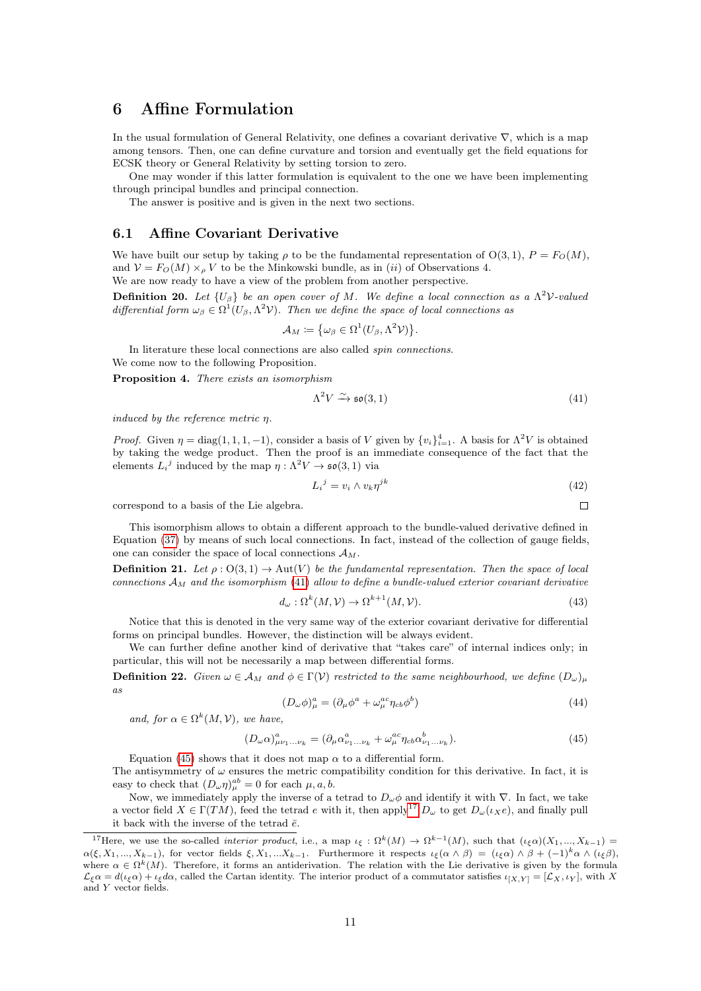# <span id="page-10-0"></span>6 Affine Formulation

In the usual formulation of General Relativity, one defines a covariant derivative ∇, which is a map among tensors. Then, one can define curvature and torsion and eventually get the field equations for ECSK theory or General Relativity by setting torsion to zero.

One may wonder if this latter formulation is equivalent to the one we have been implementing through principal bundles and principal connection.

The answer is positive and is given in the next two sections.

### <span id="page-10-1"></span>6.1 Affine Covariant Derivative

We have built our setup by taking  $\rho$  to be the fundamental representation of  $O(3, 1)$ ,  $P = F_O(M)$ , and  $V = F<sub>O</sub>(M) \times<sub>o</sub> V$  to be the Minkowski bundle, as in (*ii*) of Observations 4. We are now ready to have a view of the problem from another perspective.

**Definition 20.** Let  $\{U_\beta\}$  be an open cover of M. We define a local connection as a  $\Lambda^2$ V-valued differential form  $\omega_{\beta} \in \Omega^1(U_{\beta}, \Lambda^2 V)$ . Then we define the space of local connections as

$$
\mathcal{A}_M \coloneqq \{ \omega_\beta \in \Omega^1(U_\beta, \Lambda^2 \mathcal{V}) \}.
$$

In literature these local connections are also called spin connections. We come now to the following Proposition.

Proposition 4. There exists an isomorphism

<span id="page-10-2"></span>
$$
\Lambda^2 V \xrightarrow{\sim} \mathfrak{so}(3,1) \tag{41}
$$

induced by the reference metric η.

*Proof.* Given  $\eta = \text{diag}(1, 1, 1, -1)$ , consider a basis of V given by  $\{v_i\}_{i=1}^4$ . A basis for  $\Lambda^2 V$  is obtained by taking the wedge product. Then the proof is an immediate consequence of the fact that the elements  $L_i^j$  induced by the map  $\eta : \Lambda^2 V \to \mathfrak{so}(3,1)$  via

$$
L_i^j = v_i \wedge v_k \eta^{jk} \tag{42}
$$

 $\Box$ 

correspond to a basis of the Lie algebra.

This isomorphism allows to obtain a different approach to the bundle-valued derivative defined in Equation (37) by means of such local connections. In fact, instead of the collection of gauge fields, one can consider the space of local connections 
$$
\mathcal{A}_M
$$
.

**Definition 21.** Let  $\rho: O(3, 1) \to Aut(V)$  be the fundamental representation. Then the space of local connections  $\mathcal{A}_M$  and the isomorphism [\(41\)](#page-10-2) allow to define a bundle-valued exterior covariant derivative

$$
d_{\omega} : \Omega^k(M, \mathcal{V}) \to \Omega^{k+1}(M, \mathcal{V}). \tag{43}
$$

Notice that this is denoted in the very same way of the exterior covariant derivative for differential forms on principal bundles. However, the distinction will be always evident.

We can further define another kind of derivative that "takes care" of internal indices only; in particular, this will not be necessarily a map between differential forms.

**Definition 22.** Given  $\omega \in A_M$  and  $\phi \in \Gamma(V)$  restricted to the same neighbourhood, we define  $(D_\omega)_{\mu\nu}$ as

$$
(D_{\omega}\phi)^{a}_{\mu} = (\partial_{\mu}\phi^{a} + \omega^{ac}_{\mu}\eta_{cb}\phi^{b})
$$
\n(44)

and, for  $\alpha \in \Omega^k(M, \mathcal{V})$ , we have,

<span id="page-10-3"></span>
$$
(D_{\omega}\alpha)^{a}_{\mu\nu_{1}...\nu_{k}} = (\partial_{\mu}\alpha^{a}_{\nu_{1}...\nu_{k}} + \omega^{ac}_{\mu}\eta_{cb}\alpha^{b}_{\nu_{1}...\nu_{k}}). \tag{45}
$$

Equation [\(45\)](#page-10-3) shows that it does not map  $\alpha$  to a differential form. The antisymmetry of  $\omega$  ensures the metric compatibility condition for this derivative. In fact, it is easy to check that  $(D_{\omega}\eta)^{ab}_{\mu}=0$  for each  $\mu, a, b$ .

Now, we immediately apply the inverse of a tetrad to  $D_{\omega}\phi$  and identify it with  $\nabla$ . In fact, we take a vector field  $X \in \Gamma(TM)$ , feed the tetrad e with it, then apply<sup>[17](#page-10-4)</sup>  $D_{\omega}$  to get  $D_{\omega}(\iota_{X}e)$ , and finally pull it back with the inverse of the tetrad  $\bar{e}$ .

<span id="page-10-4"></span><sup>&</sup>lt;sup>17</sup>Here, we use the so-called *interior product*, i.e., a map  $\iota_{\xi}: \Omega^{k}(M) \to \Omega^{k-1}(M)$ , such that  $(\iota_{\xi}\alpha)(X_1,...,X_{k-1}) =$  $\alpha(\xi, X_1, ..., X_{k-1})$ , for vector fields  $\xi, X_1, ... X_{k-1}$ . Furthermore it respects  $\iota_{\xi}(\alpha \wedge \beta) = (\iota_{\xi}\alpha) \wedge \beta + (-1)^k \alpha \wedge (\iota_{\xi}\beta)$ , where  $\alpha \in \Omega^k(M)$ . Therefore, it forms an antiderivation. The relation with the Lie derivative is given by the formula  $\mathcal{L}_{\xi} \alpha = d(\iota_{\xi} \alpha) + \iota_{\xi} d\alpha$ , called the Cartan identity. The interior product of a commutator satisfies  $\iota_{[X,Y]} = [\mathcal{L}_X, \iota_Y]$ , with X and Y vector fields.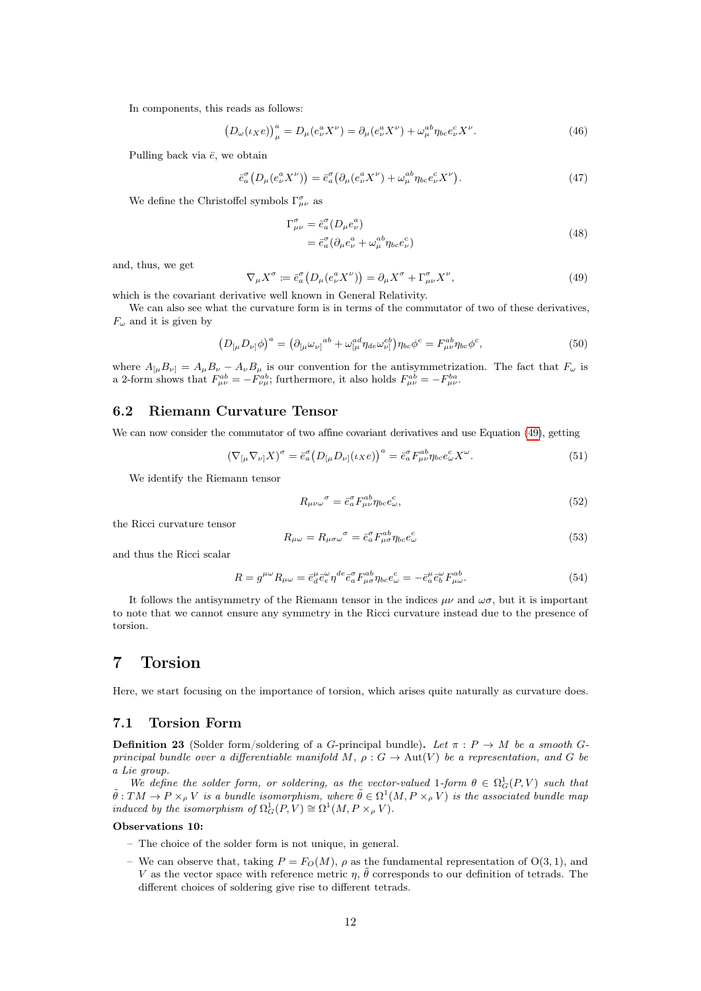In components, this reads as follows:

$$
\left(D_{\omega}(\iota_{X}e)\right)_{\mu}^{a} = D_{\mu}(e_{\nu}^{a}X^{\nu}) = \partial_{\mu}(e_{\nu}^{a}X^{\nu}) + \omega_{\mu}^{ab}\eta_{bc}e_{\nu}^{c}X^{\nu}.
$$
\n(46)

Pulling back via  $\bar{e}$ , we obtain

$$
\bar{e}_a^{\sigma} \left( D_\mu (e_\nu^a X^\nu) \right) = \bar{e}_a^{\sigma} \left( \partial_\mu (e_\nu^a X^\nu) + \omega_\mu^{ab} \eta_{bc} e_\nu^c X^\nu \right). \tag{47}
$$

We define the Christoffel symbols  $\Gamma^{\sigma}_{\mu\nu}$  as

$$
\Gamma^{\sigma}_{\mu\nu} = \bar{e}^{\sigma}_{a} (D_{\mu} e^a_{\nu})
$$
\n
$$
= \bar{e}^{\sigma}_{a} (\partial_{\mu} e^a_{\nu} + \omega^{ab}_{\mu} \eta_{bc} e^c_{\nu})
$$
\n(48)

and, thus, we get

<span id="page-11-3"></span>
$$
\nabla_{\mu} X^{\sigma} := \bar{e}^{\sigma}_{a} \left( D_{\mu} (e_{\nu}^{a} X^{\nu}) \right) = \partial_{\mu} X^{\sigma} + \Gamma^{\sigma}_{\mu \nu} X^{\nu}, \tag{49}
$$

which is the covariant derivative well known in General Relativity.

We can also see what the curvature form is in terms of the commutator of two of these derivatives,  $F_{\omega}$  and it is given by

$$
\left(D_{\left[\mu\right.}D_{\nu\right]}\phi\right)^{a} = \left(\partial_{\left[\mu\right.}\omega_{\nu\right]}^{ab} + \omega_{\left[\mu\right.}^{ad}\eta_{de}\omega_{\nu\right]}^{eb}\right)\eta_{bc}\phi^{c} = F_{\mu\nu}^{ab}\eta_{bc}\phi^{c},\tag{50}
$$

where  $A_{\mu}B_{\nu} = A_{\mu}B_{\nu} - A_{\nu}B_{\mu}$  is our convention for the antisymmetrization. The fact that  $F_{\omega}$  is a 2-form shows that  $F_{\mu\nu}^{ab} = -F_{\nu\mu}^{ab}$ ; furthermore, it also holds  $F_{\mu\nu}^{ab} = -F_{\mu\nu}^{ba}$ .

### <span id="page-11-0"></span>6.2 Riemann Curvature Tensor

We can now consider the commutator of two affine covariant derivatives and use Equation [\(49\)](#page-11-3), getting

$$
\left(\nabla_{\left[\mu\nabla_{\nu\right]}X\right)^{\sigma} = \bar{e}^{\sigma}_{a} \left(D_{\left[\mu}D_{\nu\right]}(\iota_{X}e)\right)^{a} = \bar{e}^{\sigma}_{a} F^{ab}_{\mu\nu} \eta_{bc} e^c_{\omega} X^{\omega}.
$$
\n(51)

We identify the Riemann tensor

$$
R_{\mu\nu\omega}^{\qquad \sigma} = \bar{e}_a^{\sigma} F_{\mu\nu}^{ab} \eta_{bc} e_\omega^c,\tag{52}
$$

the Ricci curvature tensor

$$
R_{\mu\omega} = R_{\mu\sigma\omega}^{\qquad \sigma} = \bar{e}_a^{\sigma} F_{\mu\sigma}^{ab} \eta_{bc} e_\omega^c \tag{53}
$$

and thus the Ricci scalar

$$
R = g^{\mu\omega} R_{\mu\omega} = \bar{e}^{\mu}_{d} \bar{e}^{\omega}_{e} \eta^{de} \bar{e}^{\sigma}_{a} F^{ab}_{\mu\sigma} \eta_{bc} e^{c}_{\omega} = -\bar{e}^{\mu}_{a} \bar{e}^{\omega}_{b} F^{ab}_{\mu\omega}.
$$
 (54)

It follows the antisymmetry of the Riemann tensor in the indices  $\mu\nu$  and  $\omega\sigma$ , but it is important to note that we cannot ensure any symmetry in the Ricci curvature instead due to the presence of torsion.

# <span id="page-11-1"></span>7 Torsion

Here, we start focusing on the importance of torsion, which arises quite naturally as curvature does.

#### <span id="page-11-2"></span>7.1 Torsion Form

**Definition 23** (Solder form/soldering of a G-principal bundle). Let  $\pi$ :  $P \rightarrow M$  be a smooth Gprincipal bundle over a differentiable manifold M,  $\rho : G \to \text{Aut}(V)$  be a representation, and G be a Lie group.

We define the solder form, or soldering, as the vector-valued 1-form  $\theta \in \Omega_G^1(P, V)$  such that  $\tilde{\theta}: TM \to P \times_{\rho} V$  is a bundle isomorphism, where  $\tilde{\theta} \in \Omega^1(M, P \times_{\rho} V)$  is the associated bundle map induced by the isomorphism of  $\Omega_G^1(P, V) \cong \Omega^1(M, P \times_{\rho} V)$ .

#### Observations 10:

- The choice of the solder form is not unique, in general.
- We can observe that, taking  $P = F<sub>O</sub>(M)$ ,  $\rho$  as the fundamental representation of  $O(3, 1)$ , and V as the vector space with reference metric  $\eta$ ,  $\tilde{\theta}$  corresponds to our definition of tetrads. The different choices of soldering give rise to different tetrads.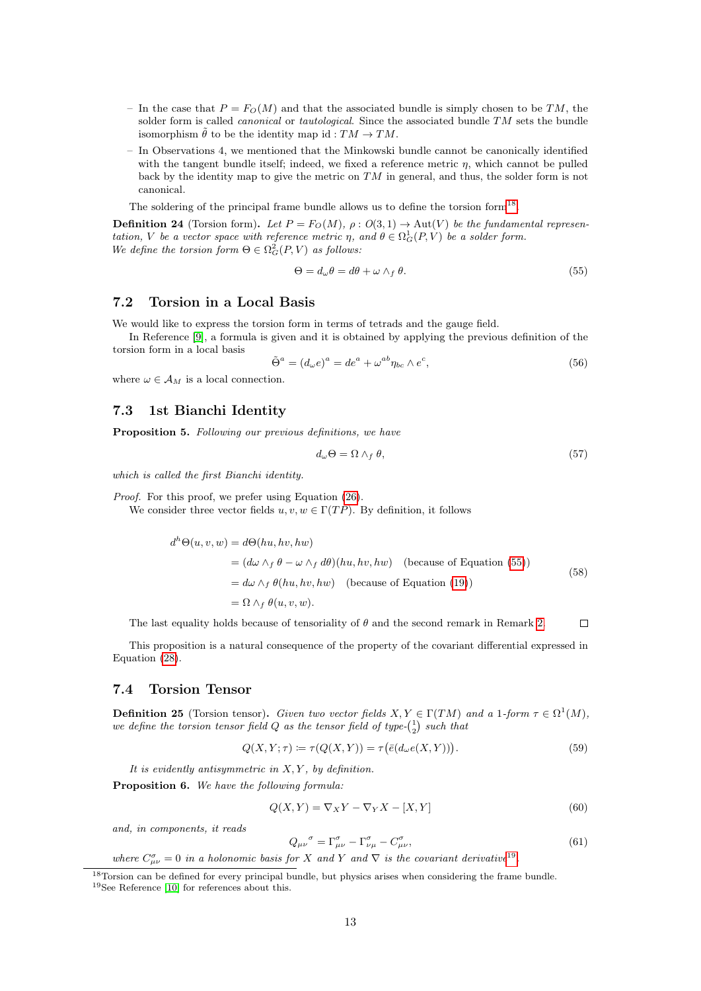- In the case that  $P = F_O(M)$  and that the associated bundle is simply chosen to be TM, the solder form is called *canonical* or *tautological*. Since the associated bundle TM sets the bundle isomorphism  $\tilde{\theta}$  to be the identity map id :  $TM \to TM$ .
- In Observations 4, we mentioned that the Minkowski bundle cannot be canonically identified with the tangent bundle itself; indeed, we fixed a reference metric  $\eta$ , which cannot be pulled back by the identity map to give the metric on  $TM$  in general, and thus, the solder form is not canonical.

The soldering of the principal frame bundle allows us to define the torsion form<sup>[18](#page-12-4)</sup>.

**Definition 24** (Torsion form). Let  $P = F<sub>O</sub>(M)$ ,  $\rho : O(3, 1) \rightarrow Aut(V)$  be the fundamental representation, V be a vector space with reference metric  $\eta$ , and  $\theta \in \Omega_G^1(P, V)$  be a solder form. We define the torsion form  $\Theta \in \Omega_G^2(P, V)$  as follows:

<span id="page-12-5"></span>
$$
\Theta = d_{\omega}\theta = d\theta + \omega \wedge_f \theta. \tag{55}
$$

### <span id="page-12-0"></span>7.2 Torsion in a Local Basis

We would like to express the torsion form in terms of tetrads and the gauge field.

In Reference [\[9\]](#page-16-6), a formula is given and it is obtained by applying the previous definition of the torsion form in a local basis

$$
\tilde{\Theta}^a = (d_\omega e)^a = de^a + \omega^{ab} \eta_{bc} \wedge e^c,\tag{56}
$$

where  $\omega \in A_M$  is a local connection.

### <span id="page-12-1"></span>7.3 1st Bianchi Identity

Proposition 5. Following our previous definitions, we have

<span id="page-12-3"></span>
$$
d_{\omega}\Theta = \Omega \wedge_f \theta,\tag{57}
$$

which is called the first Bianchi identity.

Proof. For this proof, we prefer using Equation [\(26\)](#page-7-6).

We consider three vector fields  $u, v, w \in \Gamma(TP)$ . By definition, it follows

$$
d^{h}\Theta(u, v, w) = d\Theta(hu, hv, hw)
$$
  
=  $(d\omega \wedge_{f} \theta - \omega \wedge_{f} d\theta)(hu, hv, hw)$  (because of Equation (55))  
=  $d\omega \wedge_{f} \theta(hu, hv, hw)$  (because of Equation (19))  
=  $\Omega \wedge_{f} \theta(u, v, w)$ . (58)

The last equality holds because of tensoriality of  $\theta$  and the second remark in Remark [2.](#page-7-7)  $\Box$ 

This proposition is a natural consequence of the property of the covariant differential expressed in Equation [\(28\)](#page-7-8).

#### <span id="page-12-2"></span>7.4 Torsion Tensor

**Definition 25** (Torsion tensor). Given two vector fields  $X, Y \in \Gamma(TM)$  and a 1-form  $\tau \in \Omega^1(M)$ , we define the torsion tensor field Q as the tensor field of type- $\binom{1}{2}$  such that

$$
Q(X, Y; \tau) \coloneqq \tau(Q(X, Y)) = \tau(\bar{e}(d_{\omega}e(X, Y))). \tag{59}
$$

It is evidently antisymmetric in  $X, Y$ , by definition.

Proposition 6. We have the following formula:

$$
Q(X,Y) = \nabla_X Y - \nabla_Y X - [X,Y] \tag{60}
$$

and, in components, it reads

$$
Q_{\mu\nu}^{\sigma} = \Gamma^{\sigma}_{\mu\nu} - \Gamma^{\sigma}_{\nu\mu} - C^{\sigma}_{\mu\nu},\tag{61}
$$

where  $C^{\sigma}_{\mu\nu} = 0$  in a holonomic basis for X and Y and  $\nabla$  is the covariant derivative<sup>[19](#page-12-6)</sup>.

<span id="page-12-4"></span><sup>&</sup>lt;sup>18</sup>Torsion can be defined for every principal bundle, but physics arises when considering the frame bundle.

<span id="page-12-6"></span><sup>19</sup>See Reference [\[10\]](#page-16-7) for references about this.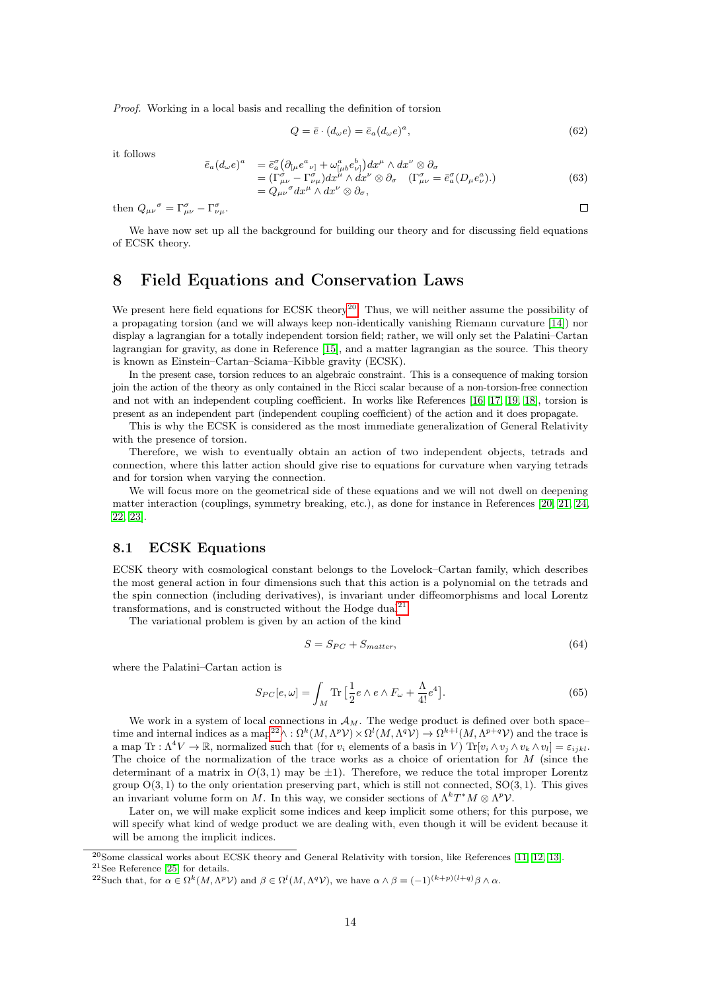Proof. Working in a local basis and recalling the definition of torsion

$$
Q = \bar{e} \cdot (d_{\omega}e) = \bar{e}_a (d_{\omega}e)^a, \tag{62}
$$

 $\Box$ 

it follows

$$
e)^{a} = \bar{e}_{a}^{\sigma} (\partial_{[\mu} e^{a}{}_{\nu]} + \omega^{a}_{[\mu b} e^{b}{}_{\nu]}) dx^{\mu} \wedge dx^{\nu} \otimes \partial_{\sigma}
$$
  
=  $(\Gamma^{a}_{\mu\nu} - \Gamma^{a}_{\nu\mu}) dx^{\mu} \wedge dx^{\nu} \otimes \partial_{\sigma} (\Gamma^{a}_{\mu\nu} = \bar{e}_{a}^{\sigma} (D_{\mu} e^{a}_{\nu})).$   
=  $Q_{\mu\nu}^{\sigma} dx^{\mu} \wedge dx^{\nu} \otimes \partial_{\sigma},$  (63)

then  $Q_{\mu\nu}^{\sigma} = \Gamma^{\sigma}_{\mu\nu} - \Gamma^{\sigma}_{\nu\mu}$ .

 $\bar{e}_a(d_\omega)$ 

We have now set up all the background for building our theory and for discussing field equations of ECSK theory.

# <span id="page-13-0"></span>8 Field Equations and Conservation Laws

We present here field equations for ECSK theory<sup>[20](#page-13-2)</sup>. Thus, we will neither assume the possibility of a propagating torsion (and we will always keep non-identically vanishing Riemann curvature [\[14\]](#page-16-8)) nor display a lagrangian for a totally independent torsion field; rather, we will only set the Palatini–Cartan lagrangian for gravity, as done in Reference [\[15\]](#page-16-9), and a matter lagrangian as the source. This theory is known as Einstein–Cartan–Sciama–Kibble gravity (ECSK).

In the present case, torsion reduces to an algebraic constraint. This is a consequence of making torsion join the action of the theory as only contained in the Ricci scalar because of a non-torsion-free connection and not with an independent coupling coefficient. In works like References [\[16,](#page-16-10) [17,](#page-16-11) [19,](#page-16-12) [18\]](#page-16-13), torsion is present as an independent part (independent coupling coefficient) of the action and it does propagate.

This is why the ECSK is considered as the most immediate generalization of General Relativity with the presence of torsion.

Therefore, we wish to eventually obtain an action of two independent objects, tetrads and connection, where this latter action should give rise to equations for curvature when varying tetrads and for torsion when varying the connection.

We will focus more on the geometrical side of these equations and we will not dwell on deepening matter interaction (couplings, symmetry breaking, etc.), as done for instance in References [\[20,](#page-16-14) [21,](#page-16-15) [24,](#page-16-16) [22,](#page-16-17) [23\]](#page-16-18).

#### <span id="page-13-1"></span>8.1 ECSK Equations

ECSK theory with cosmological constant belongs to the Lovelock–Cartan family, which describes the most general action in four dimensions such that this action is a polynomial on the tetrads and the spin connection (including derivatives), is invariant under diffeomorphisms and local Lorentz transformations, and is constructed without the Hodge dual<sup>[21](#page-13-3)</sup>.

The variational problem is given by an action of the kind

$$
S = S_{PC} + S_{matter},\tag{64}
$$

where the Palatini–Cartan action is

<span id="page-13-5"></span>
$$
S_{PC}[e,\omega] = \int_M \text{Tr} \left[ \frac{1}{2} e \wedge e \wedge F_{\omega} + \frac{\Lambda}{4!} e^4 \right]. \tag{65}
$$

We work in a system of local connections in  $\mathcal{A}_M$ . The wedge product is defined over both space– time and internal indices as a map<sup>[22](#page-13-4)</sup> $\wedge$ :  $\Omega^k(M, \Lambda^p \mathcal{V}) \times \Omega^l(M, \Lambda^q \mathcal{V}) \to \Omega^{k+l}(M, \Lambda^{p+q} \mathcal{V})$  and the trace is a map Tr :  $\Lambda^4 V \to \mathbb{R}$ , normalized such that (for  $v_i$  elements of a basis in V) Tr $[v_i \wedge v_j \wedge v_k \wedge v_l] = \varepsilon_{iikl}$ . The choice of the normalization of the trace works as a choice of orientation for  $M$  (since the determinant of a matrix in  $O(3, 1)$  may be  $\pm 1$ ). Therefore, we reduce the total improper Lorentz group  $O(3, 1)$  to the only orientation preserving part, which is still not connected,  $SO(3, 1)$ . This gives an invariant volume form on M. In this way, we consider sections of  $\Lambda^k T^* M \otimes \Lambda^p \mathcal{V}$ .

Later on, we will make explicit some indices and keep implicit some others; for this purpose, we will specify what kind of wedge product we are dealing with, even though it will be evident because it will be among the implicit indices.

<span id="page-13-3"></span><span id="page-13-2"></span><sup>20</sup>Some classical works about ECSK theory and General Relativity with torsion, like References [\[11,](#page-16-19) [12,](#page-16-20) [13\]](#page-16-21). <sup>21</sup>See Reference [\[25\]](#page-16-22) for details.

<span id="page-13-4"></span><sup>&</sup>lt;sup>22</sup>Such that, for  $\alpha \in \Omega^k(M, \Lambda^p \mathcal{V})$  and  $\beta \in \Omega^l(M, \Lambda^q \mathcal{V})$ , we have  $\alpha \wedge \beta = (-1)^{(k+p)(l+q)} \beta \wedge \alpha$ .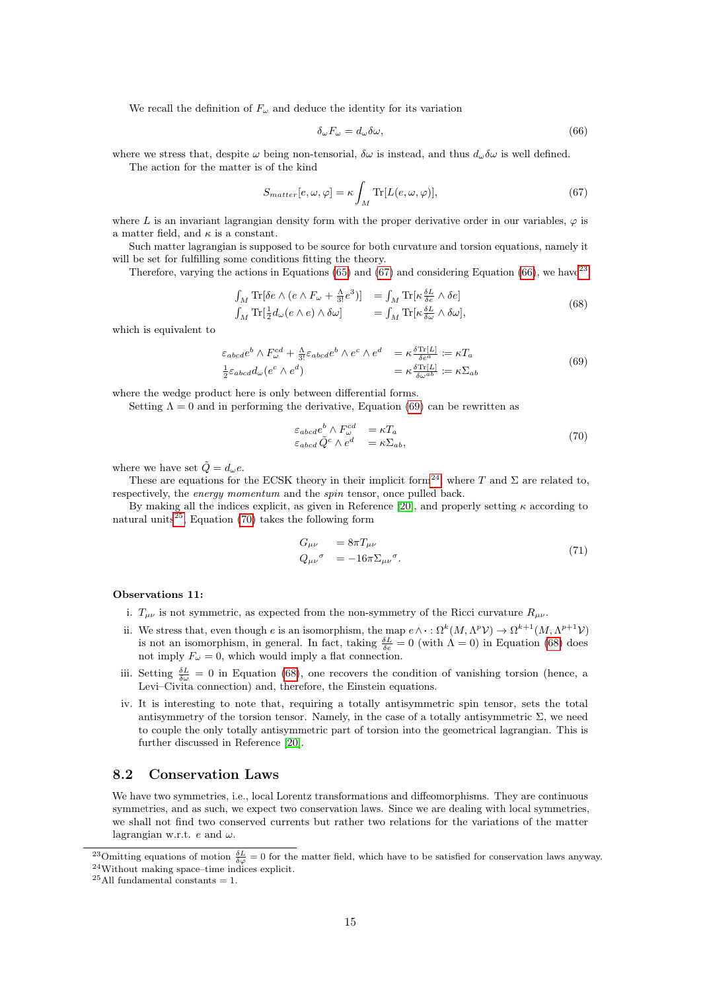We recall the definition of  $F_{\omega}$  and deduce the identity for its variation

<span id="page-14-2"></span>
$$
\delta_{\omega} F_{\omega} = d_{\omega} \delta \omega, \tag{66}
$$

where we stress that, despite  $\omega$  being non-tensorial,  $\delta\omega$  is instead, and thus  $d_{\omega}\delta\omega$  is well defined. The action for the matter is of the kind

<span id="page-14-1"></span>
$$
S_{matter}[e,\omega,\varphi] = \kappa \int_M \text{Tr}[L(e,\omega,\varphi)],\tag{67}
$$

where L is an invariant lagrangian density form with the proper derivative order in our variables,  $\varphi$  is a matter field, and  $\kappa$  is a constant.

Such matter lagrangian is supposed to be source for both curvature and torsion equations, namely it will be set for fulfilling some conditions fitting the theory.

Therefore, varying the actions in Equations [\(65\)](#page-13-5) and [\(67\)](#page-14-1) and considering Equation [\(66\)](#page-14-2), we have  $2<sup>3</sup>$ 

<span id="page-14-8"></span>
$$
\int_{M} \text{Tr}[\delta e \wedge (e \wedge F_{\omega} + \frac{\Lambda}{3!} e^{3})] = \int_{M} \text{Tr}[\kappa \frac{\delta L}{\delta e} \wedge \delta e] \n\int_{M} \text{Tr}[\frac{1}{2} d_{\omega} (e \wedge e) \wedge \delta \omega] = \int_{M} \text{Tr}[\kappa \frac{\delta L}{\delta \omega} \wedge \delta \omega],
$$
\n(68)

which is equivalent to

<span id="page-14-4"></span>
$$
\varepsilon_{abcde}^{bcde} \wedge F_{\omega}^{cd} + \frac{\Lambda}{3!} \varepsilon_{abcde}^{bcde} \wedge e^c \wedge e^d = \kappa \frac{\delta \text{Tr}[L]}{\delta e^a} := \kappa T_a
$$
\n
$$
\frac{1}{2} \varepsilon_{abcd} d_{\omega} (e^c \wedge e^d) = \kappa \frac{\delta \text{Tr}[L]}{\delta \omega^{ab}} := \kappa \Sigma_{ab}
$$
\n(69)

where the wedge product here is only between differential forms.

Setting  $\Lambda = 0$  and in performing the derivative, Equation [\(69\)](#page-14-4) can be rewritten as

<span id="page-14-7"></span>
$$
\varepsilon_{abcd}e^b \wedge F_{\omega}^{cd} = \kappa T_a
$$
  
\n
$$
\varepsilon_{abcd} \tilde{Q}^c \wedge e^d = \kappa \Sigma_{ab},
$$
\n(70)

where we have set  $\dot{Q} = d_{\omega}e$ .

These are equations for the ECSK theory in their implicit form<sup>[24](#page-14-5)</sup>, where T and  $\Sigma$  are related to, respectively, the energy momentum and the spin tensor, once pulled back.

By making all the indices explicit, as given in Reference [\[20\]](#page-16-14), and properly setting  $\kappa$  according to natural units<sup>[25](#page-14-6)</sup>, Equation [\(70\)](#page-14-7) takes the following form

$$
G_{\mu\nu} = 8\pi T_{\mu\nu}
$$
  
\n
$$
Q_{\mu\nu}{}^{\sigma} = -16\pi \Sigma_{\mu\nu}{}^{\sigma}.
$$
\n(71)

#### Observations 11:

- i.  $T_{\mu\nu}$  is not symmetric, as expected from the non-symmetry of the Ricci curvature  $R_{\mu\nu}$ .
- ii. We stress that, even though e is an isomorphism, the map  $e \wedge \cdot : \Omega^k(M, \Lambda^p \mathcal{V}) \to \Omega^{k+1}(M, \Lambda^{p+1} \mathcal{V})$ is not an isomorphism, in general. In fact, taking  $\frac{\delta L}{\delta e} = 0$  (with  $\Lambda = 0$ ) in Equation [\(68\)](#page-14-8) does not imply  $F_{\omega} = 0$ , which would imply a flat connection.
- iii. Setting  $\frac{\delta L}{\delta \omega} = 0$  in Equation [\(68\)](#page-14-8), one recovers the condition of vanishing torsion (hence, a Levi–Civita connection) and, therefore, the Einstein equations.
- iv. It is interesting to note that, requiring a totally antisymmetric spin tensor, sets the total antisymmetry of the torsion tensor. Namely, in the case of a totally antisymmetric  $\Sigma$ , we need to couple the only totally antisymmetric part of torsion into the geometrical lagrangian. This is further discussed in Reference [\[20\]](#page-16-14).

### <span id="page-14-0"></span>8.2 Conservation Laws

We have two symmetries, i.e., local Lorentz transformations and diffeomorphisms. They are continuous symmetries, and as such, we expect two conservation laws. Since we are dealing with local symmetries, we shall not find two conserved currents but rather two relations for the variations of the matter lagrangian w.r.t. e and  $\omega$ .

<span id="page-14-5"></span><span id="page-14-3"></span><sup>&</sup>lt;sup>23</sup>Omitting equations of motion  $\frac{\delta L}{\delta \varphi} = 0$  for the matter field, which have to be satisfied for conservation laws anyway. <sup>24</sup>Without making space–time indices explicit.

<span id="page-14-6"></span> $^{25}\mathrm{All}$  fundamental constants = 1.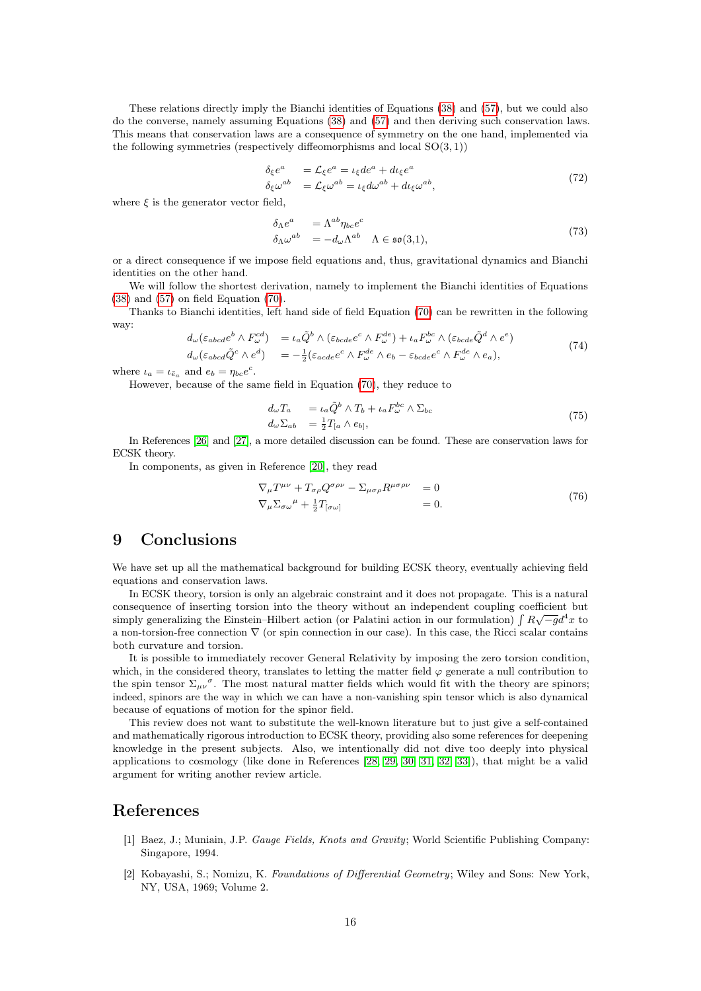These relations directly imply the Bianchi identities of Equations [\(38\)](#page-9-5) and [\(57\)](#page-12-3), but we could also do the converse, namely assuming Equations [\(38\)](#page-9-5) and [\(57\)](#page-12-3) and then deriving such conservation laws. This means that conservation laws are a consequence of symmetry on the one hand, implemented via the following symmetries (respectively diffeomorphisms and local  $SO(3, 1)$ )

$$
\delta_{\xi}e^{a} = \mathcal{L}_{\xi}e^{a} = \iota_{\xi}de^{a} + d\iota_{\xi}e^{a}
$$
\n
$$
\delta_{\xi}\omega^{ab} = \mathcal{L}_{\xi}\omega^{ab} = \iota_{\xi}d\omega^{ab} + d\iota_{\xi}\omega^{ab},
$$
\n(72)

where  $\xi$  is the generator vector field,

$$
\delta_{\Lambda}e^{a} = \Lambda^{ab}\eta_{bc}e^{c}
$$
\n
$$
\delta_{\Lambda}\omega^{ab} = -d_{\omega}\Lambda^{ab} \Lambda \in \mathfrak{so}(3,1),\tag{73}
$$

or a direct consequence if we impose field equations and, thus, gravitational dynamics and Bianchi identities on the other hand.

We will follow the shortest derivation, namely to implement the Bianchi identities of Equations [\(38\)](#page-9-5) and [\(57\)](#page-12-3) on field Equation [\(70\)](#page-14-7).

Thanks to Bianchi identities, left hand side of field Equation [\(70\)](#page-14-7) can be rewritten in the following way:

$$
d_{\omega}(\varepsilon_{abcd}e^{b}\wedge F_{\omega}^{cd}) = \iota_{a}\tilde{Q}^{b}\wedge(\varepsilon_{bcde}e^{c}\wedge F_{\omega}^{de}) + \iota_{a}F_{\omega}^{bc}\wedge(\varepsilon_{bcde}\tilde{Q}^{d}\wedge e^{e})
$$
  
\n
$$
d_{\omega}(\varepsilon_{abcd}\tilde{Q}^{c}\wedge e^{d}) = -\frac{1}{2}(\varepsilon_{acde}e^{c}\wedge F_{\omega}^{de}\wedge e_{b} - \varepsilon_{bcde}e^{c}\wedge F_{\omega}^{de}\wedge e_{a}),
$$
\n(74)

where  $\iota_a = \iota_{\bar{e}_a}$  and  $e_b = \eta_{bc} e^c$ .

However, because of the same field in Equation [\(70\)](#page-14-7), they reduce to

$$
d_{\omega}T_a = \iota_a \tilde{Q}^b \wedge T_b + \iota_a F_{\omega}^{bc} \wedge \Sigma_{bc}
$$
  
\n
$$
d_{\omega} \Sigma_{ab} = \frac{1}{2} T_{[a} \wedge e_{b]},
$$
\n(75)

In References [\[26\]](#page-16-23) and [\[27\]](#page-17-0), a more detailed discussion can be found. These are conservation laws for ECSK theory.

In components, as given in Reference [\[20\]](#page-16-14), they read

$$
\nabla_{\mu}T^{\mu\nu} + T_{\sigma\rho}Q^{\sigma\rho\nu} - \Sigma_{\mu\sigma\rho}R^{\mu\sigma\rho\nu} = 0
$$
  
\n
$$
\nabla_{\mu}\Sigma_{\sigma\omega}{}^{\mu} + \frac{1}{2}T_{[\sigma\omega]} = 0.
$$
\n(76)

### <span id="page-15-0"></span>9 Conclusions

We have set up all the mathematical background for building ECSK theory, eventually achieving field equations and conservation laws.

In ECSK theory, torsion is only an algebraic constraint and it does not propagate. This is a natural consequence of inserting torsion into the theory without an independent coupling coefficient but<br>
∴ simply generalizing the Einstein–Hilbert action (or Palatini action in our formulation)  $\int R\sqrt{-g}d^4x$  to a non-torsion-free connection ∇ (or spin connection in our case). In this case, the Ricci scalar contains both curvature and torsion.

It is possible to immediately recover General Relativity by imposing the zero torsion condition, which, in the considered theory, translates to letting the matter field  $\varphi$  generate a null contribution to the spin tensor  $\Sigma_{\mu\nu}^{\sigma}$ . The most natural matter fields which would fit with the theory are spinors; indeed, spinors are the way in which we can have a non-vanishing spin tensor which is also dynamical because of equations of motion for the spinor field.

This review does not want to substitute the well-known literature but to just give a self-contained and mathematically rigorous introduction to ECSK theory, providing also some references for deepening knowledge in the present subjects. Also, we intentionally did not dive too deeply into physical applications to cosmology (like done in References [\[28,](#page-17-1) [29,](#page-17-2) [30,](#page-17-3) [31,](#page-17-4) [32,](#page-17-5) [33\]](#page-17-6)), that might be a valid argument for writing another review article.

### References

- <span id="page-15-1"></span>[1] Baez, J.; Muniain, J.P. Gauge Fields, Knots and Gravity; World Scientific Publishing Company: Singapore, 1994.
- <span id="page-15-2"></span>[2] Kobayashi, S.; Nomizu, K. Foundations of Differential Geometry; Wiley and Sons: New York, NY, USA, 1969; Volume 2.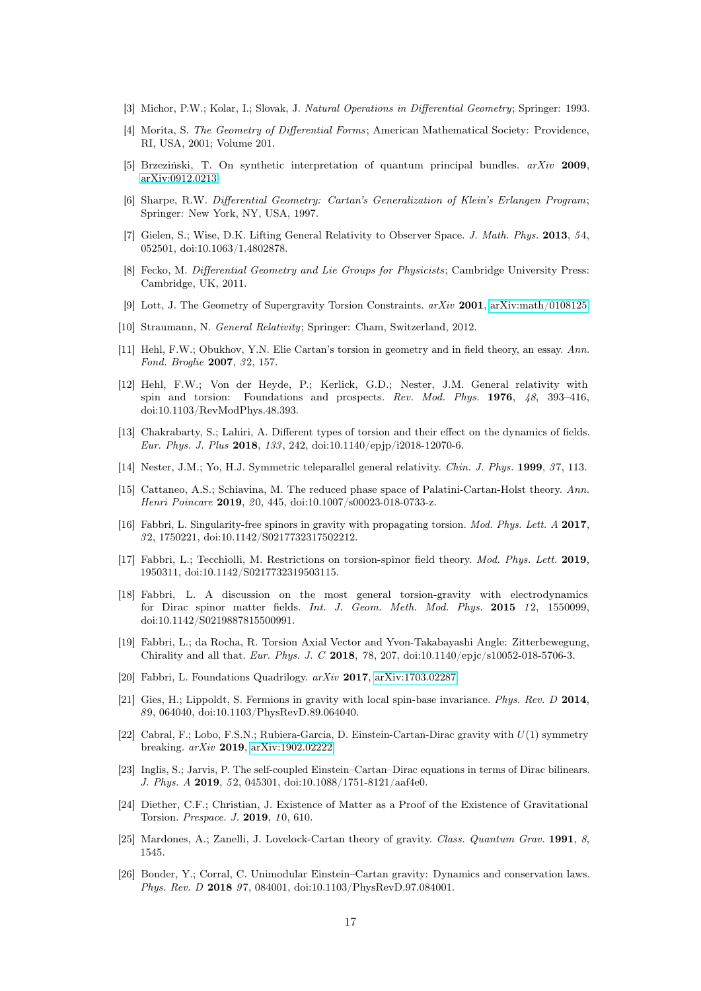- <span id="page-16-0"></span>[3] Michor, P.W.; Kolar, I.; Slovak, J. Natural Operations in Differential Geometry; Springer: 1993.
- <span id="page-16-1"></span>[4] Morita, S. The Geometry of Differential Forms; American Mathematical Society: Providence, RI, USA, 2001; Volume 201.
- <span id="page-16-2"></span>[5] Brzeziński, T. On synthetic interpretation of quantum principal bundles.  $arXiv$  2009, [arXiv:0912.0213.](http://arxiv.org/abs/0912.0213)
- <span id="page-16-3"></span>[6] Sharpe, R.W. Differential Geometry: Cartan's Generalization of Klein's Erlangen Program; Springer: New York, NY, USA, 1997.
- <span id="page-16-4"></span>[7] Gielen, S.; Wise, D.K. Lifting General Relativity to Observer Space. J. Math. Phys. 2013, 54, 052501, doi:10.1063/1.4802878.
- <span id="page-16-5"></span>[8] Fecko, M. Differential Geometry and Lie Groups for Physicists; Cambridge University Press: Cambridge, UK, 2011.
- <span id="page-16-6"></span>[9] Lott, J. The Geometry of Supergravity Torsion Constraints. arXiv 2001, [arXiv:math/0108125.](http://arxiv.org/abs/math/0108125)
- <span id="page-16-7"></span>[10] Straumann, N. General Relativity; Springer: Cham, Switzerland, 2012.
- <span id="page-16-19"></span>[11] Hehl, F.W.; Obukhov, Y.N. Elie Cartan's torsion in geometry and in field theory, an essay. Ann. Fond. Broglie 2007, 32, 157.
- <span id="page-16-20"></span>[12] Hehl, F.W.; Von der Heyde, P.; Kerlick, G.D.; Nester, J.M. General relativity with spin and torsion: Foundations and prospects. Rev. Mod. Phys. 1976, 48, 393–416, doi:10.1103/RevModPhys.48.393.
- <span id="page-16-21"></span>[13] Chakrabarty, S.; Lahiri, A. Different types of torsion and their effect on the dynamics of fields. Eur. Phys. J. Plus 2018, 133 , 242, doi:10.1140/epjp/i2018-12070-6.
- <span id="page-16-8"></span>[14] Nester, J.M.; Yo, H.J. Symmetric teleparallel general relativity. Chin. J. Phys. 1999, 37, 113.
- <span id="page-16-9"></span>[15] Cattaneo, A.S.; Schiavina, M. The reduced phase space of Palatini-Cartan-Holst theory. Ann. Henri Poincare 2019, 20, 445, doi:10.1007/s00023-018-0733-z.
- <span id="page-16-10"></span>[16] Fabbri, L. Singularity-free spinors in gravity with propagating torsion. Mod. Phys. Lett. A 2017, 3 2, 1750221, doi:10.1142/S0217732317502212.
- <span id="page-16-11"></span>[17] Fabbri, L.; Tecchiolli, M. Restrictions on torsion-spinor field theory. Mod. Phys. Lett. 2019, 1950311, doi:10.1142/S0217732319503115.
- <span id="page-16-13"></span>[18] Fabbri, L. A discussion on the most general torsion-gravity with electrodynamics for Dirac spinor matter fields. Int. J. Geom. Meth. Mod. Phys. 2015 12, 1550099, doi:10.1142/S0219887815500991.
- <span id="page-16-12"></span>[19] Fabbri, L.; da Rocha, R. Torsion Axial Vector and Yvon-Takabayashi Angle: Zitterbewegung, Chirality and all that. Eur. Phys. J. C 2018, 78, 207, doi:10.1140/epjc/s10052-018-5706-3.
- <span id="page-16-14"></span>[20] Fabbri, L. Foundations Quadrilogy.  $arXiv$  2017, [arXiv:1703.02287.](http://arxiv.org/abs/1703.02287)
- <span id="page-16-15"></span>[21] Gies, H.; Lippoldt, S. Fermions in gravity with local spin-base invariance. Phys. Rev. D 2014, 8 9, 064040, doi:10.1103/PhysRevD.89.064040.
- <span id="page-16-17"></span>[22] Cabral, F.; Lobo, F.S.N.; Rubiera-Garcia, D. Einstein-Cartan-Dirac gravity with U(1) symmetry breaking. arXiv 2019, [arXiv:1902.02222.](http://arxiv.org/abs/1902.02222)
- <span id="page-16-18"></span>[23] Inglis, S.; Jarvis, P. The self-coupled Einstein–Cartan–Dirac equations in terms of Dirac bilinears. J. Phys. A 2019, 52, 045301, doi:10.1088/1751-8121/aaf4e0.
- <span id="page-16-16"></span>[24] Diether, C.F.; Christian, J. Existence of Matter as a Proof of the Existence of Gravitational Torsion. Prespace. J. 2019, 10, 610.
- <span id="page-16-22"></span>[25] Mardones, A.; Zanelli, J. Lovelock-Cartan theory of gravity. Class. Quantum Grav. 1991, 8, 1545.
- <span id="page-16-23"></span>[26] Bonder, Y.; Corral, C. Unimodular Einstein–Cartan gravity: Dynamics and conservation laws. Phys. Rev. D 2018 97, 084001, doi:10.1103/PhysRevD.97.084001.